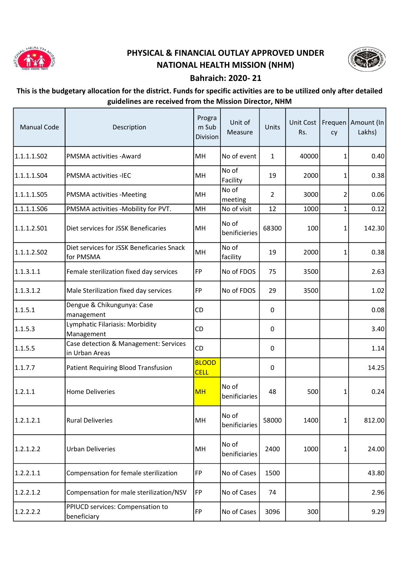

## PHYSICAL & FINANCIAL OUTLAY APPROVED UNDER NATIONAL HEALTH MISSION (NHM)



## Bahraich: 2020- 21

## This is the budgetary allocation for the district. Funds for specific activities are to be utilized only after detailed guidelines are received from the Mission Director, NHM

| <b>Manual Code</b> | Description                                             | Progra<br>m Sub<br>Division | Unit of<br>Measure     | Units          | Rs.   | cy           | Unit Cost   Frequen   Amount (In  <br>Lakhs) |
|--------------------|---------------------------------------------------------|-----------------------------|------------------------|----------------|-------|--------------|----------------------------------------------|
| 1.1.1.1.S02        | PMSMA activities - Award                                | MH                          | No of event            | $\mathbf{1}$   | 40000 | 1            | 0.40                                         |
| 1.1.1.1.S04        | PMSMA activities -IEC                                   | MH                          | No of<br>Facility      | 19             | 2000  | 1            | 0.38                                         |
| 1.1.1.1.505        | <b>PMSMA activities -Meeting</b>                        | MH                          | No of<br>meeting       | $\overline{2}$ | 3000  | 2            | 0.06                                         |
| 1.1.1.1.506        | PMSMA activities -Mobility for PVT.                     | MH                          | No of visit            | 12             | 1000  | 1            | 0.12                                         |
| 1.1.1.2.501        | Diet services for JSSK Beneficaries                     | MH                          | No of<br>benificieries | 68300          | 100   | 1            | 142.30                                       |
| 1.1.1.2.502        | Diet services for JSSK Beneficaries Snack<br>for PMSMA  | MH                          | No of<br>facility      | 19             | 2000  | $\mathbf{1}$ | 0.38                                         |
| 1.1.3.1.1          | Female sterilization fixed day services                 | FP                          | No of FDOS             | 75             | 3500  |              | 2.63                                         |
| 1.1.3.1.2          | Male Sterilization fixed day services                   | FP                          | No of FDOS             | 29             | 3500  |              | 1.02                                         |
| 1.1.5.1            | Dengue & Chikungunya: Case<br>management                | <b>CD</b>                   |                        | 0              |       |              | 0.08                                         |
| 1.1.5.3            | Lymphatic Filariasis: Morbidity<br>Management           | CD                          |                        | 0              |       |              | 3.40                                         |
| 1.1.5.5            | Case detection & Management: Services<br>in Urban Areas | <b>CD</b>                   |                        | 0              |       |              | 1.14                                         |
| 1.1.7.7            | <b>Patient Requiring Blood Transfusion</b>              | <b>BLOOD</b><br><b>CELL</b> |                        | 0              |       |              | 14.25                                        |
| 1.2.1.1            | <b>Home Deliveries</b>                                  | <b>MH</b>                   | No of<br>benificiaries | 48             | 500   | 1            | 0.24                                         |
| 1.2.1.2.1          | <b>Rural Deliveries</b>                                 | MH                          | No of<br>benificiaries | 58000          | 1400  | $\mathbf{1}$ | 812.00                                       |
| 1.2.1.2.2          | <b>Urban Deliveries</b>                                 | MH                          | No of<br>benificiaries | 2400           | 1000  | 1            | 24.00                                        |
| 1.2.2.1.1          | Compensation for female sterilization                   | <b>FP</b>                   | No of Cases            | 1500           |       |              | 43.80                                        |
| 1.2.2.1.2          | Compensation for male sterilization/NSV                 | FP                          | No of Cases            | 74             |       |              | 2.96                                         |
| 1.2.2.2.2          | PPIUCD services: Compensation to<br>beneficiary         | FP                          | No of Cases            | 3096           | 300   |              | 9.29                                         |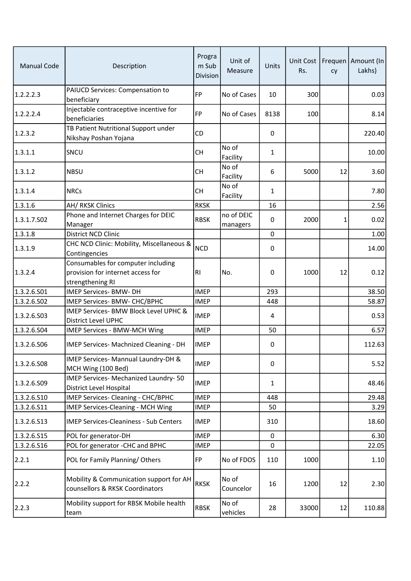| <b>Manual Code</b> | Description                                                                                 | Progra<br>m Sub<br><b>Division</b> | Unit of<br>Measure     | Units          | Rs.   | cy | Unit Cost   Frequen   Amount (In<br>Lakhs) |
|--------------------|---------------------------------------------------------------------------------------------|------------------------------------|------------------------|----------------|-------|----|--------------------------------------------|
| 1.2.2.2.3          | PAIUCD Services: Compensation to<br>beneficiary                                             | <b>FP</b>                          | No of Cases            | 10             | 300   |    | 0.03                                       |
| 1.2.2.2.4          | Injectable contraceptive incentive for<br>beneficiaries                                     | <b>FP</b>                          | No of Cases            | 8138           | 100   |    | 8.14                                       |
| 1.2.3.2            | TB Patient Nutritional Support under<br>Nikshay Poshan Yojana                               | <b>CD</b>                          |                        | 0              |       |    | 220.40                                     |
| 1.3.1.1            | SNCU                                                                                        | <b>CH</b>                          | No of<br>Facility      | $\mathbf{1}$   |       |    | 10.00                                      |
| 1.3.1.2            | <b>NBSU</b>                                                                                 | <b>CH</b>                          | No of<br>Facility      | 6              | 5000  | 12 | 3.60                                       |
| 1.3.1.4            | <b>NRCs</b>                                                                                 | <b>CH</b>                          | No of<br>Facility      | 1              |       |    | 7.80                                       |
| 1.3.1.6            | AH/ RKSK Clinics                                                                            | <b>RKSK</b>                        |                        | 16             |       |    | 2.56                                       |
| 1.3.1.7.S02        | Phone and Internet Charges for DEIC<br>Manager                                              | <b>RBSK</b>                        | no of DEIC<br>managers | $\mathbf{0}$   | 2000  | 1  | 0.02                                       |
| 1.3.1.8            | <b>District NCD Clinic</b>                                                                  |                                    |                        | $\mathbf 0$    |       |    | 1.00                                       |
| 1.3.1.9            | CHC NCD Clinic: Mobility, Miscellaneous &<br>Contingencies                                  | <b>NCD</b>                         |                        | 0              |       |    | 14.00                                      |
| 1.3.2.4            | Consumables for computer including<br>provision for internet access for<br>strengthening RI | R <sub>1</sub>                     | No.                    | 0              | 1000  | 12 | 0.12                                       |
| 1.3.2.6.501        | IMEP Services- BMW- DH                                                                      | <b>IMEP</b>                        |                        | 293            |       |    | 38.50                                      |
| 1.3.2.6.S02        | IMEP Services- BMW- CHC/BPHC                                                                | <b>IMEP</b>                        |                        | 448            |       |    | 58.87                                      |
| 1.3.2.6.503        | IMEP Services- BMW Block Level UPHC &<br><b>District Level UPHC</b>                         | <b>IMEP</b>                        |                        | $\overline{4}$ |       |    | 0.53                                       |
| 1.3.2.6.504        | IMEP Services - BMW-MCH Wing                                                                | <b>IMEP</b>                        |                        | 50             |       |    | 6.57                                       |
| 1.3.2.6.506        | IMEP Services- Machnized Cleaning - DH                                                      | <b>IMEP</b>                        |                        | 0              |       |    | 112.63                                     |
| 1.3.2.6.508        | IMEP Services- Mannual Laundry-DH &<br>MCH Wing (100 Bed)                                   | <b>IMEP</b>                        |                        | $\pmb{0}$      |       |    | 5.52                                       |
| 1.3.2.6.509        | IMEP Services- Mechanized Laundry-50<br>District Level Hospital                             | <b>IMEP</b>                        |                        | 1              |       |    | 48.46                                      |
| 1.3.2.6.510        | IMEP Services- Cleaning - CHC/BPHC                                                          | <b>IMEP</b>                        |                        | 448            |       |    | 29.48                                      |
| 1.3.2.6.511        | IMEP Services-Cleaning - MCH Wing                                                           | <b>IMEP</b>                        |                        | 50             |       |    | 3.29                                       |
| 1.3.2.6.513        | <b>IMEP Services-Cleaniness - Sub Centers</b>                                               | <b>IMEP</b>                        |                        | 310            |       |    | 18.60                                      |
| 1.3.2.6.S15        | POL for generator-DH                                                                        | <b>IMEP</b>                        |                        | $\pmb{0}$      |       |    | 6.30                                       |
| 1.3.2.6.516        | POL for generator -CHC and BPHC                                                             | <b>IMEP</b>                        |                        | $\mathbf 0$    |       |    | 22.05                                      |
| 2.2.1              | POL for Family Planning/Others                                                              | <b>FP</b>                          | No of FDOS             | 110            | 1000  |    | 1.10                                       |
| 2.2.2              | Mobility & Communication support for AH<br>counsellors & RKSK Coordinators                  | <b>RKSK</b>                        | No of<br>Councelor     | 16             | 1200  | 12 | 2.30                                       |
| 2.2.3              | Mobility support for RBSK Mobile health<br>team                                             | <b>RBSK</b>                        | No of<br>vehicles      | 28             | 33000 | 12 | 110.88                                     |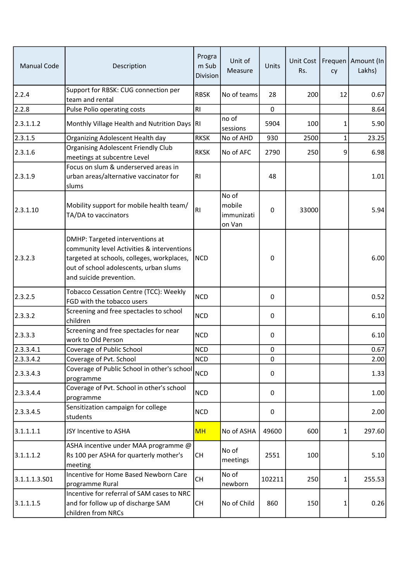| <b>Manual Code</b> | Description                                                                                                                                                                                      | Progra<br>m Sub<br><b>Division</b> | Unit of<br>Measure                      | Units            | Unit Cost<br>Rs. | cy       | Frequen   Amount (In<br>Lakhs) |
|--------------------|--------------------------------------------------------------------------------------------------------------------------------------------------------------------------------------------------|------------------------------------|-----------------------------------------|------------------|------------------|----------|--------------------------------|
| 2.2.4              | Support for RBSK: CUG connection per<br>team and rental                                                                                                                                          | <b>RBSK</b>                        | No of teams                             | 28               | 200              | 12       | 0.67                           |
| 2.2.8              | Pulse Polio operating costs                                                                                                                                                                      | RI                                 |                                         | 0                |                  |          | 8.64                           |
| 2.3.1.1.2          | Monthly Village Health and Nutrition Days                                                                                                                                                        | R <sub>1</sub>                     | no of<br>sessions                       | 5904             | 100              | 1        | 5.90                           |
| 2.3.1.5            | Organizing Adolescent Health day                                                                                                                                                                 | <b>RKSK</b>                        | No of AHD                               | 930              | 2500             | 1        | 23.25                          |
| 2.3.1.6            | <b>Organising Adolescent Friendly Club</b><br>meetings at subcentre Level                                                                                                                        | <b>RKSK</b>                        | No of AFC                               | 2790             | 250              | 9        | 6.98                           |
| 2.3.1.9            | Focus on slum & underserved areas in<br>urban areas/alternative vaccinator for<br>slums                                                                                                          | R1                                 |                                         | 48               |                  |          | 1.01                           |
| 2.3.1.10           | Mobility support for mobile health team/<br>TA/DA to vaccinators                                                                                                                                 | RI                                 | No of<br>mobile<br>immunizati<br>on Van | 0                | 33000            |          | 5.94                           |
| 2.3.2.3            | DMHP: Targeted interventions at<br>community level Activities & interventions<br>targeted at schools, colleges, workplaces,<br>out of school adolescents, urban slums<br>and suicide prevention. | <b>NCD</b>                         |                                         | $\boldsymbol{0}$ |                  |          | 6.00                           |
| 2.3.2.5            | Tobacco Cessation Centre (TCC): Weekly<br>FGD with the tobacco users                                                                                                                             | <b>NCD</b>                         |                                         | 0                |                  |          | 0.52                           |
| 2.3.3.2            | Screening and free spectacles to school<br>children                                                                                                                                              | <b>NCD</b>                         |                                         | 0                |                  |          | 6.10                           |
| 2.3.3.3            | Screening and free spectacles for near<br>work to Old Person                                                                                                                                     | <b>NCD</b>                         |                                         | 0                |                  |          | 6.10                           |
| 2.3.3.4.1          | Coverage of Public School                                                                                                                                                                        | <b>NCD</b>                         |                                         | $\pmb{0}$        |                  |          | 0.67                           |
| 2.3.3.4.2          | Coverage of Pvt. School                                                                                                                                                                          | <b>NCD</b>                         |                                         | 0                |                  |          | 2.00                           |
| 2.3.3.4.3          | Coverage of Public School in other's school<br>programme                                                                                                                                         | <b>NCD</b>                         |                                         | 0                |                  |          | 1.33                           |
| 2.3.3.4.4          | Coverage of Pvt. School in other's school<br>programme                                                                                                                                           | <b>NCD</b>                         |                                         | 0                |                  |          | 1.00                           |
| 2.3.3.4.5          | Sensitization campaign for college<br>students                                                                                                                                                   | <b>NCD</b>                         |                                         | 0                |                  |          | 2.00                           |
| 3.1.1.1.1          | JSY Incentive to ASHA                                                                                                                                                                            | <b>MH</b>                          | No of ASHA                              | 49600            | 600              | 1        | 297.60                         |
| 3.1.1.1.2          | ASHA incentive under MAA programme @<br>Rs 100 per ASHA for quarterly mother's<br>meeting                                                                                                        | <b>CH</b>                          | No of<br>meetings                       | 2551             | 100              |          | 5.10                           |
| 3.1.1.1.3.501      | Incentive for Home Based Newborn Care<br>programme Rural                                                                                                                                         | <b>CH</b>                          | No of<br>newborn                        | 102211           | 250              | $1\vert$ | 255.53                         |
| 3.1.1.1.5          | Incentive for referral of SAM cases to NRC<br>and for follow up of discharge SAM<br>children from NRCs                                                                                           | <b>CH</b>                          | No of Child                             | 860              | 150              | 1        | 0.26                           |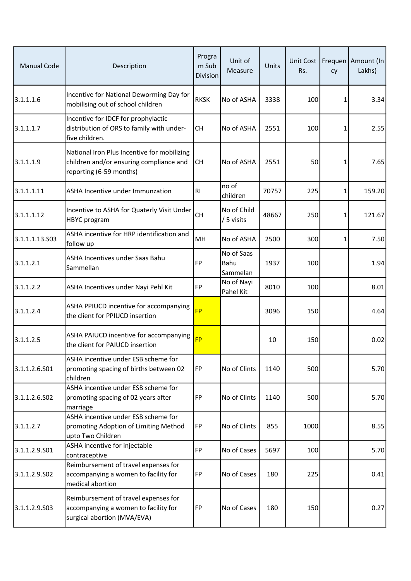| <b>Manual Code</b> | Description                                                                                                       | Progra<br>m Sub<br><b>Division</b> | Unit of<br>Measure             | <b>Units</b> | Unit Cost<br>Rs. | cy       | Frequen   Amount (In<br>Lakhs) |
|--------------------|-------------------------------------------------------------------------------------------------------------------|------------------------------------|--------------------------------|--------------|------------------|----------|--------------------------------|
| 3.1.1.1.6          | Incentive for National Deworming Day for<br>mobilising out of school children                                     | <b>RKSK</b>                        | No of ASHA                     | 3338         | 100              | 1        | 3.34                           |
| 3.1.1.1.7          | Incentive for IDCF for prophylactic<br>distribution of ORS to family with under-<br>five children.                | <b>CH</b>                          | No of ASHA                     | 2551         | 100              | 1        | 2.55                           |
| 3.1.1.1.9          | National Iron Plus Incentive for mobilizing<br>children and/or ensuring compliance and<br>reporting (6-59 months) | <b>CH</b>                          | No of ASHA                     | 2551         | 50               | 1        | 7.65                           |
| 3.1.1.1.11         | ASHA Incentive under Immunzation                                                                                  | R <sub>l</sub>                     | no of<br>children              | 70757        | 225              | 1        | 159.20                         |
| 3.1.1.1.12         | Incentive to ASHA for Quaterly Visit Under<br><b>HBYC</b> program                                                 | <b>CH</b>                          | No of Child<br>/ 5 visits      | 48667        | 250              | $1\vert$ | 121.67                         |
| 3.1.1.1.13.503     | ASHA incentive for HRP identification and<br>follow up                                                            | MH                                 | No of ASHA                     | 2500         | 300              | $1\vert$ | 7.50                           |
| 3.1.1.2.1          | ASHA Incentives under Saas Bahu<br>Sammellan                                                                      | <b>FP</b>                          | No of Saas<br>Bahu<br>Sammelan | 1937         | 100              |          | 1.94                           |
| 3.1.1.2.2          | ASHA Incentives under Nayi Pehl Kit                                                                               | FP                                 | No of Nayi<br>Pahel Kit        | 8010         | 100              |          | 8.01                           |
| 3.1.1.2.4          | ASHA PPIUCD incentive for accompanying<br>the client for PPIUCD insertion                                         | <b>FP</b>                          |                                | 3096         | 150              |          | 4.64                           |
| 3.1.1.2.5          | ASHA PAIUCD incentive for accompanying<br>the client for PAIUCD insertion                                         | <b>FP</b>                          |                                | 10           | 150              |          | 0.02                           |
| 3.1.1.2.6.S01      | ASHA incentive under ESB scheme for<br>promoting spacing of births between 02<br>children                         | FP                                 | No of Clints                   | 1140         | 500              |          | 5.70                           |
| 3.1.1.2.6.S02      | ASHA incentive under ESB scheme for<br>promoting spacing of 02 years after<br>marriage                            | FP                                 | No of Clints                   | 1140         | 500              |          | 5.70                           |
| 3.1.1.2.7          | ASHA incentive under ESB scheme for<br>promoting Adoption of Limiting Method<br>upto Two Children                 | FP                                 | No of Clints                   | 855          | 1000             |          | 8.55                           |
| 3.1.1.2.9.501      | ASHA incentive for injectable<br>contraceptive                                                                    | <b>FP</b>                          | No of Cases                    | 5697         | 100              |          | 5.70                           |
| 3.1.1.2.9.502      | Reimbursement of travel expenses for<br>accompanying a women to facility for<br>medical abortion                  | FP                                 | No of Cases                    | 180          | 225              |          | 0.41                           |
| 3.1.1.2.9.503      | Reimbursement of travel expenses for<br>accompanying a women to facility for<br>surgical abortion (MVA/EVA)       | FP                                 | No of Cases                    | 180          | 150              |          | 0.27                           |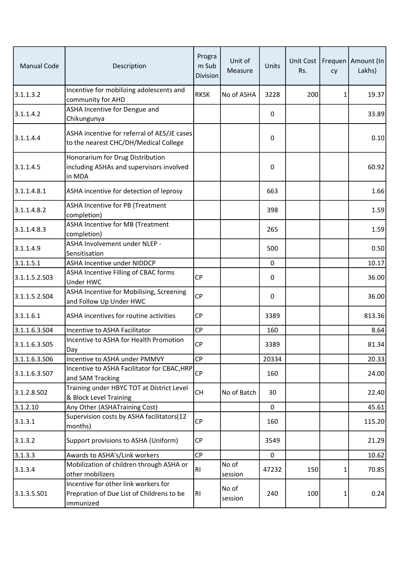| <b>Manual Code</b> | Description                                                                                    | Progra<br>m Sub<br><b>Division</b> | Unit of<br>Measure | Units    | Rs. | cy | Unit Cost   Frequen   Amount (In<br>Lakhs) |
|--------------------|------------------------------------------------------------------------------------------------|------------------------------------|--------------------|----------|-----|----|--------------------------------------------|
| 3.1.1.3.2          | Incentive for mobilizing adolescents and<br>community for AHD                                  | <b>RKSK</b>                        | No of ASHA         | 3228     | 200 | 1  | 19.37                                      |
| 3.1.1.4.2          | ASHA Incentive for Dengue and<br>Chikungunya                                                   |                                    |                    | 0        |     |    | 33.89                                      |
| 3.1.1.4.4          | ASHA incentive for referral of AES/JE cases<br>to the nearest CHC/DH/Medical College           |                                    |                    | 0        |     |    | 0.10                                       |
| 3.1.1.4.5          | Honorarium for Drug Distribution<br>including ASHAs and supervisors involved<br>in MDA         |                                    |                    | $\Omega$ |     |    | 60.92                                      |
| 3.1.1.4.8.1        | ASHA incentive for detection of leprosy                                                        |                                    |                    | 663      |     |    | 1.66                                       |
| 3.1.1.4.8.2        | ASHA Incentive for PB (Treatment<br>completion)                                                |                                    |                    | 398      |     |    | 1.59                                       |
| 3.1.1.4.8.3        | ASHA Incentive for MB (Treatment<br>completion)                                                |                                    |                    | 265      |     |    | 1.59                                       |
| 3.1.1.4.9          | ASHA Involvement under NLEP -<br>Sensitisation                                                 |                                    |                    | 500      |     |    | 0.50                                       |
| 3.1.1.5.1          | ASHA Incentive under NIDDCP                                                                    |                                    |                    | 0        |     |    | 10.17                                      |
| 3.1.1.5.2.S03      | ASHA Incentive Filling of CBAC forms<br>Under HWC                                              | <b>CP</b>                          |                    | 0        |     |    | 36.00                                      |
| 3.1.1.5.2.504      | ASHA Incentive for Mobilising, Screening<br>and Follow Up Under HWC                            | CP                                 |                    | 0        |     |    | 36.00                                      |
| 3.1.1.6.1          | ASHA incentives for routine activities                                                         | <b>CP</b>                          |                    | 3389     |     |    | 813.36                                     |
| 3.1.1.6.3.504      | Incentive to ASHA Facilitator                                                                  | CP                                 |                    | 160      |     |    | 8.64                                       |
| 3.1.1.6.3.505      | Incentive to ASHA for Health Promotion<br>Day                                                  | <b>CP</b>                          |                    | 3389     |     |    | 81.34                                      |
| 3.1.1.6.3.506      | Incentive to ASHA under PMMVY                                                                  | CP                                 |                    | 20334    |     |    | 20.33                                      |
| 3.1.1.6.3.S07      | Incentive to ASHA Facilitator for CBAC, HRP<br>and SAM Tracking                                | <b>CP</b>                          |                    | 160      |     |    | 24.00                                      |
| 3.1.2.8.502        | Training under HBYC TOT at District Level<br>& Block Level Training                            | <b>CH</b>                          | No of Batch        | 30       |     |    | 22.40                                      |
| 3.1.2.10           | Any Other (ASHATraining Cost)                                                                  |                                    |                    | 0        |     |    | 45.61                                      |
| 3.1.3.1            | Supervision costs by ASHA facilitators(12<br>months)                                           | <b>CP</b>                          |                    | 160      |     |    | 115.20                                     |
| 3.1.3.2            | Support provisions to ASHA (Uniform)                                                           | <b>CP</b>                          |                    | 3549     |     |    | 21.29                                      |
| 3.1.3.3            | Awards to ASHA's/Link workers                                                                  | <b>CP</b>                          |                    | 0        |     |    | 10.62                                      |
| 3.1.3.4            | Mobilization of children through ASHA or<br>other mobilizers                                   | RI                                 | No of<br>session   | 47232    | 150 | 1  | 70.85                                      |
| 3.1.3.5.501        | Incentive for other link workers for<br>Prepration of Due List of Childrens to be<br>immunized | R <sub>l</sub>                     | No of<br>session   | 240      | 100 | 1  | 0.24                                       |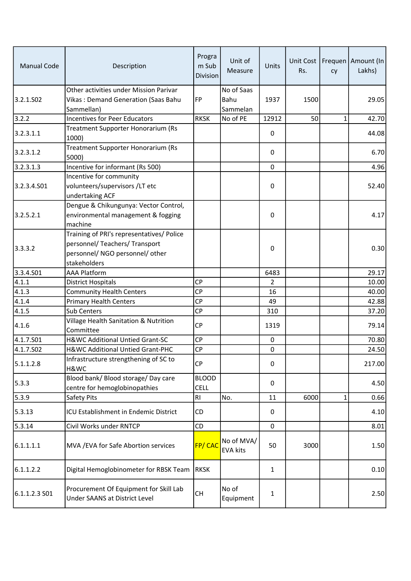| <b>Manual Code</b> | Description                                                                                                                    | Progra<br>m Sub<br><b>Division</b> | Unit of<br>Measure             | Units       | Rs.  | cy           | Unit Cost   Frequen   Amount (In<br>Lakhs) |
|--------------------|--------------------------------------------------------------------------------------------------------------------------------|------------------------------------|--------------------------------|-------------|------|--------------|--------------------------------------------|
| 3.2.1.SO2          | Other activities under Mission Parivar<br>Vikas: Demand Generation (Saas Bahu<br>Sammellan)                                    | <b>FP</b>                          | No of Saas<br>Bahu<br>Sammelan | 1937        | 1500 |              | 29.05                                      |
| 3.2.2              | <b>Incentives for Peer Educators</b>                                                                                           | <b>RKSK</b>                        | No of PE                       | 12912       | 50   | $\mathbf{1}$ | 42.70                                      |
| 3.2.3.1.1          | Treatment Supporter Honorarium (Rs<br>1000)                                                                                    |                                    |                                | 0           |      |              | 44.08                                      |
| 3.2.3.1.2          | Treatment Supporter Honorarium (Rs<br>5000)                                                                                    |                                    |                                | 0           |      |              | 6.70                                       |
| 3.2.3.1.3          | Incentive for informant (Rs 500)                                                                                               |                                    |                                | $\pmb{0}$   |      |              | 4.96                                       |
| 3.2.3.4.501        | Incentive for community<br>volunteers/supervisors /LT etc<br>undertaking ACF                                                   |                                    |                                | 0           |      |              | 52.40                                      |
| 3.2.5.2.1          | Dengue & Chikungunya: Vector Control,<br>environmental management & fogging<br>machine                                         |                                    |                                | 0           |      |              | 4.17                                       |
| 3.3.3.2            | Training of PRI's representatives/ Police<br>personnel/ Teachers/ Transport<br>personnel/ NGO personnel/ other<br>stakeholders |                                    |                                | 0           |      |              | 0.30                                       |
| 3.3.4.501          | <b>AAA Platform</b>                                                                                                            |                                    |                                | 6483        |      |              | 29.17                                      |
| 4.1.1              | <b>District Hospitals</b>                                                                                                      | <b>CP</b>                          |                                | 2           |      |              | 10.00                                      |
| 4.1.3              | <b>Community Health Centers</b>                                                                                                | <b>CP</b>                          |                                | 16          |      |              | 40.00                                      |
| 4.1.4              | <b>Primary Health Centers</b>                                                                                                  | <b>CP</b>                          |                                | 49          |      |              | 42.88                                      |
| 4.1.5              | Sub Centers                                                                                                                    | CP                                 |                                | 310         |      |              | 37.20                                      |
| 4.1.6              | Village Health Sanitation & Nutrition<br>Committee                                                                             | CP                                 |                                | 1319        |      |              | 79.14                                      |
| 4.1.7.S01          | H&WC Additional Untied Grant-SC                                                                                                | CP                                 |                                | $\pmb{0}$   |      |              | 70.80                                      |
| 4.1.7.502          | H&WC Additional Untied Grant-PHC                                                                                               | CP                                 |                                | $\pmb{0}$   |      |              | 24.50                                      |
| 5.1.1.2.8          | Infrastructure strengthening of SC to<br>H&WC                                                                                  | <b>CP</b>                          |                                | 0           |      |              | 217.00                                     |
| 5.3.3              | Blood bank/ Blood storage/ Day care<br>centre for hemoglobinopathies                                                           | <b>BLOOD</b><br><b>CELL</b>        |                                | 0           |      |              | 4.50                                       |
| 5.3.9              | Safety Pits                                                                                                                    | RI                                 | No.                            | 11          | 6000 | $\mathbf{1}$ | 0.66                                       |
| 5.3.13             | ICU Establishment in Endemic District                                                                                          | CD                                 |                                | 0           |      |              | 4.10                                       |
| 5.3.14             | Civil Works under RNTCP                                                                                                        | CD                                 |                                | $\mathbf 0$ |      |              | 8.01                                       |
| 6.1.1.1.1          | MVA / EVA for Safe Abortion services                                                                                           | FP/CAC                             | No of MVA/<br><b>EVA kits</b>  | 50          | 3000 |              | 1.50                                       |
| 6.1.1.2.2          | Digital Hemoglobinometer for RBSK Team                                                                                         | <b>RKSK</b>                        |                                | 1           |      |              | 0.10                                       |
| $6.1.1.2.3S$ 01    | Procurement Of Equipment for Skill Lab<br>Under SAANS at District Level                                                        | <b>CH</b>                          | No of<br>Equipment             | 1           |      |              | 2.50                                       |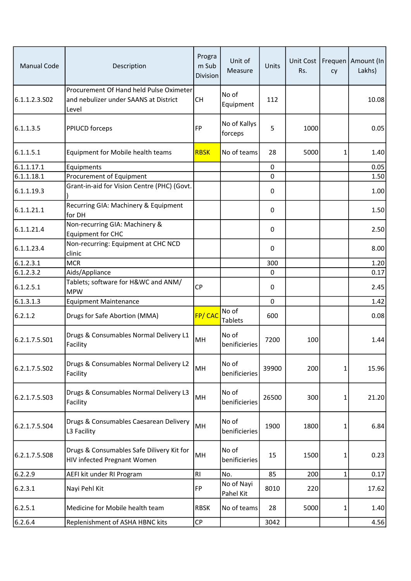| <b>Manual Code</b> | Description                                                                               | Progra<br>m Sub<br><b>Division</b> | Unit of<br>Measure      | Units        | Rs.  | cy           | Unit Cost   Frequen   Amount (In<br>Lakhs) |
|--------------------|-------------------------------------------------------------------------------------------|------------------------------------|-------------------------|--------------|------|--------------|--------------------------------------------|
| 6.1.1.2.3.S02      | Procurement Of Hand held Pulse Oximeter<br>and nebulizer under SAANS at District<br>Level | <b>CH</b>                          | No of<br>Equipment      | 112          |      |              | 10.08                                      |
| 6.1.1.3.5          | PPIUCD forceps                                                                            | <b>FP</b>                          | No of Kallys<br>forceps | 5            | 1000 |              | 0.05                                       |
| 6.1.1.5.1          | Equipment for Mobile health teams                                                         | <b>RBSK</b>                        | No of teams             | 28           | 5000 | 1            | 1.40                                       |
| 6.1.1.17.1         | Equipments                                                                                |                                    |                         | 0            |      |              | 0.05                                       |
| 6.1.1.18.1         | Procurement of Equipment                                                                  |                                    |                         | 0            |      |              | 1.50                                       |
| 6.1.1.19.3         | Grant-in-aid for Vision Centre (PHC) (Govt.                                               |                                    |                         | 0            |      |              | 1.00                                       |
| 6.1.1.21.1         | Recurring GIA: Machinery & Equipment<br>for DH                                            |                                    |                         | 0            |      |              | 1.50                                       |
| 6.1.1.21.4         | Non-recurring GIA: Machinery &<br><b>Equipment for CHC</b>                                |                                    |                         | 0            |      |              | 2.50                                       |
| 6.1.1.23.4         | Non-recurring: Equipment at CHC NCD<br>clinic                                             |                                    |                         | $\Omega$     |      |              | 8.00                                       |
| 6.1.2.3.1          | <b>MCR</b>                                                                                |                                    |                         | 300          |      |              | 1.20                                       |
| 6.1.2.3.2          | Aids/Appliance                                                                            |                                    |                         | $\mathbf{0}$ |      |              | 0.17                                       |
| 6.1.2.5.1          | Tablets; software for H&WC and ANM/<br><b>MPW</b>                                         | <b>CP</b>                          |                         | 0            |      |              | 2.45                                       |
| 6.1.3.1.3          | <b>Equipment Maintenance</b>                                                              |                                    |                         | $\mathbf 0$  |      |              | 1.42                                       |
| 6.2.1.2            | Drugs for Safe Abortion (MMA)                                                             | <b>FP/CAC</b>                      | No of<br><b>Tablets</b> | 600          |      |              | 0.08                                       |
| 6.2.1.7.5.S01      | Drugs & Consumables Normal Delivery L1<br>Facility                                        | MH                                 | No of<br>benificieries  | 7200         | 100  |              | 1.44                                       |
| 6.2.1.7.5.S02      | Drugs & Consumables Normal Delivery L2<br>Facility                                        | MH                                 | No of<br>benificieries  | 39900        | 200  | $\mathbf{1}$ | 15.96                                      |
| 6.2.1.7.5.S03      | Drugs & Consumables Normal Delivery L3<br>Facility                                        | MH                                 | No of<br>benificieries  | 26500        | 300  | 1            | 21.20                                      |
| 6.2.1.7.5.S04      | Drugs & Consumables Caesarean Delivery<br>L3 Facility                                     | MH                                 | No of<br>benificieries  | 1900         | 1800 | 1            | 6.84                                       |
| 6.2.1.7.5.508      | Drugs & Consumables Safe Dilivery Kit for<br>HIV infected Pregnant Women                  | MH                                 | No of<br>benificieries  | 15           | 1500 | 1            | 0.23                                       |
| 6.2.2.9            | AEFI kit under RI Program                                                                 | R <sub>l</sub>                     | No.                     | 85           | 200  | 1            | 0.17                                       |
| 6.2.3.1            | Nayi Pehl Kit                                                                             | <b>FP</b>                          | No of Nayi<br>Pahel Kit | 8010         | 220  |              | 17.62                                      |
| 6.2.5.1            | Medicine for Mobile health team                                                           | <b>RBSK</b>                        | No of teams             | 28           | 5000 | 1            | 1.40                                       |
| 6.2.6.4            | Replenishment of ASHA HBNC kits                                                           | CP                                 |                         | 3042         |      |              | 4.56                                       |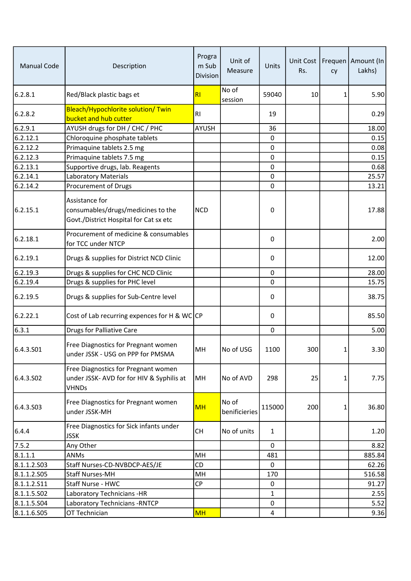| <b>Manual Code</b> | Description                                                                                      | Progra<br>m Sub<br><b>Division</b> | Unit of<br>Measure     | Units          | Rs. | cy | Unit Cost   Frequen   Amount (In<br>Lakhs) |
|--------------------|--------------------------------------------------------------------------------------------------|------------------------------------|------------------------|----------------|-----|----|--------------------------------------------|
| 6.2.8.1            | Red/Black plastic bags et                                                                        | R1                                 | No of<br>session       | 59040          | 10  | 1  | 5.90                                       |
| 6.2.8.2            | Bleach/Hypochlorite solution/ Twin<br>bucket and hub cutter                                      | R <sub>l</sub>                     |                        | 19             |     |    | 0.29                                       |
| 6.2.9.1            | AYUSH drugs for DH / CHC / PHC                                                                   | <b>AYUSH</b>                       |                        | 36             |     |    | 18.00                                      |
| 6.2.12.1           | Chloroquine phosphate tablets                                                                    |                                    |                        | 0              |     |    | 0.15                                       |
| 6.2.12.2           | Primaquine tablets 2.5 mg                                                                        |                                    |                        | 0              |     |    | 0.08                                       |
| 6.2.12.3           | Primaquine tablets 7.5 mg                                                                        |                                    |                        | 0              |     |    | 0.15                                       |
| 6.2.13.1           | Supportive drugs, lab. Reagents                                                                  |                                    |                        | 0              |     |    | 0.68                                       |
| 6.2.14.1           | Laboratory Materials                                                                             |                                    |                        | $\mathbf 0$    |     |    | 25.57                                      |
| 6.2.14.2           | Procurement of Drugs                                                                             |                                    |                        | 0              |     |    | 13.21                                      |
| 6.2.15.1           | Assistance for<br>consumables/drugs/medicines to the<br>Govt./District Hospital for Cat sx etc   | <b>NCD</b>                         |                        | 0              |     |    | 17.88                                      |
| 6.2.18.1           | Procurement of medicine & consumables<br>for TCC under NTCP                                      |                                    |                        | 0              |     |    | 2.00                                       |
| 6.2.19.1           | Drugs & supplies for District NCD Clinic                                                         |                                    |                        | 0              |     |    | 12.00                                      |
| 6.2.19.3           | Drugs & supplies for CHC NCD Clinic                                                              |                                    |                        | $\mathbf 0$    |     |    | 28.00                                      |
| 6.2.19.4           | Drugs & supplies for PHC level                                                                   |                                    |                        | $\mathbf 0$    |     |    | 15.75                                      |
| 6.2.19.5           | Drugs & supplies for Sub-Centre level                                                            |                                    |                        | 0              |     |    | 38.75                                      |
| 6.2.22.1           | Cost of Lab recurring expences for H & WC CP                                                     |                                    |                        | 0              |     |    | 85.50                                      |
| 6.3.1              | <b>Drugs for Palliative Care</b>                                                                 |                                    |                        | 0              |     |    | 5.00                                       |
| 6.4.3.S01          | Free Diagnostics for Pregnant women<br>under JSSK - USG on PPP for PMSMA                         | MH                                 | No of USG              | 1100           | 300 | 1  | 3.30                                       |
| 6.4.3.502          | Free Diagnostics for Pregnant women<br>under JSSK- AVD for for HIV & Syphilis at<br><b>VHNDs</b> | MH                                 | No of AVD              | 298            | 25  | 1  | 7.75                                       |
| 6.4.3.503          | Free Diagnostics for Pregnant women<br>under JSSK-MH                                             | <b>MH</b>                          | No of<br>benificieries | 115000         | 200 | 1  | 36.80                                      |
| 6.4.4              | Free Diagnostics for Sick infants under<br><b>JSSK</b>                                           | <b>CH</b>                          | No of units            | $\mathbf{1}$   |     |    | 1.20                                       |
| 7.5.2              | Any Other                                                                                        |                                    |                        | $\mathbf 0$    |     |    | 8.82                                       |
| 8.1.1.1            | ANMs                                                                                             | MH                                 |                        | 481            |     |    | 885.84                                     |
| 8.1.1.2.503        | Staff Nurses-CD-NVBDCP-AES/JE                                                                    | CD                                 |                        | 0              |     |    | 62.26                                      |
| 8.1.1.2.505        | Staff Nurses-MH                                                                                  | MH                                 |                        | 170            |     |    | 516.58                                     |
| 8.1.1.2.511        | Staff Nurse - HWC                                                                                | <b>CP</b>                          |                        | 0              |     |    | 91.27                                      |
| 8.1.1.5.502        | Laboratory Technicians -HR                                                                       |                                    |                        | 1              |     |    | 2.55                                       |
| 8.1.1.5.504        | Laboratory Technicians - RNTCP                                                                   |                                    |                        | 0              |     |    | 5.52                                       |
| 8.1.1.6.505        | OT Technician                                                                                    | <b>MH</b>                          |                        | $\overline{4}$ |     |    | 9.36                                       |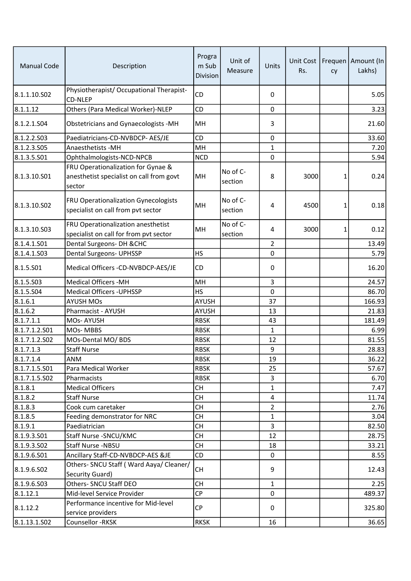| <b>Manual Code</b> | Description                                                                              | Progra<br>m Sub<br><b>Division</b> | Unit of<br>Measure    | Units          | Rs.  | cy | Unit Cost   Frequen   Amount (In<br>Lakhs) |
|--------------------|------------------------------------------------------------------------------------------|------------------------------------|-----------------------|----------------|------|----|--------------------------------------------|
| 8.1.1.10.S02       | Physiotherapist/ Occupational Therapist-<br><b>CD-NLEP</b>                               | <b>CD</b>                          |                       | 0              |      |    | 5.05                                       |
| 8.1.1.12           | Others (Para Medical Worker)-NLEP                                                        | CD                                 |                       | 0              |      |    | 3.23                                       |
| 8.1.2.1.504        | Obstetricians and Gynaecologists -MH                                                     | MH                                 |                       | 3              |      |    | 21.60                                      |
| 8.1.2.2.503        | Paediatricians-CD-NVBDCP- AES/JE                                                         | CD                                 |                       | 0              |      |    | 33.60                                      |
| 8.1.2.3.S05        | Anaesthetists - MH                                                                       | MH                                 |                       | 1              |      |    | 7.20                                       |
| 8.1.3.5.S01        | Ophthalmologists-NCD-NPCB                                                                | <b>NCD</b>                         |                       | $\mathbf{0}$   |      |    | 5.94                                       |
| 8.1.3.10.S01       | FRU Operationalization for Gynae &<br>anesthetist specialist on call from govt<br>sector | MH                                 | No of $C-$<br>section | 8              | 3000 | 1  | 0.24                                       |
| 8.1.3.10.502       | FRU Operationalization Gynecologists<br>specialist on call from pvt sector               | MH                                 | No of C-<br>section   | 4              | 4500 | 1  | 0.18                                       |
| 8.1.3.10.S03       | FRU Operationalization anesthetist<br>specialist on call for from pvt sector             | MH                                 | No of C-<br>section   | 4              | 3000 | 1  | 0.12                                       |
| 8.1.4.1.501        | Dental Surgeons- DH & CHC                                                                |                                    |                       | $\overline{2}$ |      |    | 13.49                                      |
| 8.1.4.1.S03        | Dental Surgeons- UPHSSP                                                                  | <b>HS</b>                          |                       | 0              |      |    | 5.79                                       |
| 8.1.5.501          | Medical Officers -CD-NVBDCP-AES/JE                                                       | <b>CD</b>                          |                       | 0              |      |    | 16.20                                      |
| 8.1.5.503          | <b>Medical Officers -MH</b>                                                              | MH                                 |                       | 3              |      |    | 24.57                                      |
| 8.1.5.S04          | <b>Medical Officers - UPHSSP</b>                                                         | HS                                 |                       | 0              |      |    | 86.70                                      |
| 8.1.6.1            | <b>AYUSH MOs</b>                                                                         | AYUSH                              |                       | 37             |      |    | 166.93                                     |
| 8.1.6.2            | Pharmacist - AYUSH                                                                       | AYUSH                              |                       | 13             |      |    | 21.83                                      |
| 8.1.7.1.1          | MOs-AYUSH                                                                                | <b>RBSK</b>                        |                       | 43             |      |    | 181.49                                     |
| 8.1.7.1.2.501      | <b>MOs-MBBS</b>                                                                          | <b>RBSK</b>                        |                       | 1              |      |    | 6.99                                       |
| 8.1.7.1.2.502      | MOs-Dental MO/ BDS                                                                       | <b>RBSK</b>                        |                       | 12             |      |    | 81.55                                      |
| 8.1.7.1.3          | <b>Staff Nurse</b>                                                                       | <b>RBSK</b>                        |                       | 9              |      |    | 28.83                                      |
| 8.1.7.1.4          | ANM                                                                                      | <b>RBSK</b>                        |                       | 19             |      |    | 36.22                                      |
| 8.1.7.1.5.S01      | Para Medical Worker                                                                      | <b>RBSK</b>                        |                       | 25             |      |    | 57.67                                      |
| 8.1.7.1.5.S02      | Pharmacists                                                                              | <b>RBSK</b>                        |                       | 3              |      |    | 6.70                                       |
| 8.1.8.1            | <b>Medical Officers</b>                                                                  | <b>CH</b>                          |                       | $\mathbf{1}$   |      |    | 7.47                                       |
| 8.1.8.2            | <b>Staff Nurse</b>                                                                       | <b>CH</b>                          |                       | 4              |      |    | 11.74                                      |
| 8.1.8.3            | Cook cum caretaker                                                                       | <b>CH</b>                          |                       | $\overline{2}$ |      |    | 2.76                                       |
| 8.1.8.5            | Feeding demonstrator for NRC                                                             | <b>CH</b>                          |                       | $\mathbf 1$    |      |    | 3.04                                       |
| 8.1.9.1            | Paediatrician                                                                            | <b>CH</b>                          |                       | 3              |      |    | 82.50                                      |
| 8.1.9.3.501        | Staff Nurse - SNCU/KMC                                                                   | <b>CH</b>                          |                       | 12             |      |    | 28.75                                      |
| 8.1.9.3.502        | Staff Nurse -NBSU                                                                        | <b>CH</b>                          |                       | 18             |      |    | 33.21                                      |
| 8.1.9.6.501        | Ancillary Staff-CD-NVBDCP-AES &JE                                                        | CD                                 |                       | $\mathbf{0}$   |      |    | 8.55                                       |
| 8.1.9.6.502        | Others- SNCU Staff (Ward Aaya/ Cleaner/<br>Security Guard)                               | <b>CH</b>                          |                       | 9              |      |    | 12.43                                      |
| 8.1.9.6.503        | Others- SNCU Staff DEO                                                                   | <b>CH</b>                          |                       | $\mathbf{1}$   |      |    | 2.25                                       |
| 8.1.12.1           | Mid-level Service Provider                                                               | CP                                 |                       | 0              |      |    | 489.37                                     |
| 8.1.12.2           | Performance incentive for Mid-level<br>service providers                                 | <b>CP</b>                          |                       | 0              |      |    | 325.80                                     |
| 8.1.13.1.502       | Counsellor -RKSK                                                                         | <b>RKSK</b>                        |                       | 16             |      |    | 36.65                                      |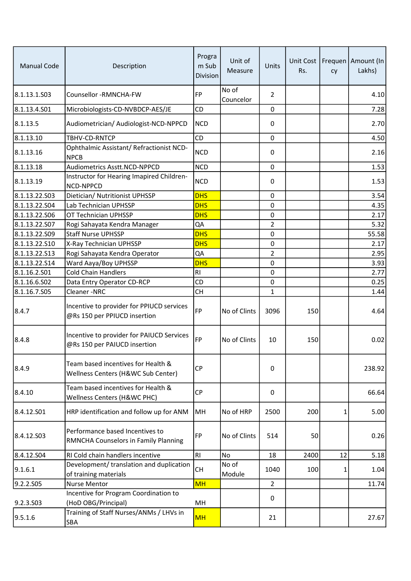| <b>Manual Code</b> | Description                                                               | Progra<br>m Sub<br><b>Division</b> | Unit of<br>Measure | <b>Units</b>   | Unit Cost<br>Rs. | cy | Frequen   Amount (In<br>Lakhs) |
|--------------------|---------------------------------------------------------------------------|------------------------------------|--------------------|----------------|------------------|----|--------------------------------|
| 8.1.13.1.S03       | Counsellor -RMNCHA-FW                                                     | <b>FP</b>                          | No of<br>Councelor | $\overline{2}$ |                  |    | 4.10                           |
| 8.1.13.4.S01       | Microbiologists-CD-NVBDCP-AES/JE                                          | <b>CD</b>                          |                    | 0              |                  |    | 7.28                           |
| 8.1.13.5           | Audiometrician/ Audiologist-NCD-NPPCD                                     | <b>NCD</b>                         |                    | 0              |                  |    | 2.70                           |
| 8.1.13.10          | TBHV-CD-RNTCP                                                             | CD                                 |                    | $\pmb{0}$      |                  |    | 4.50                           |
| 8.1.13.16          | Ophthalmic Assistant/ Refractionist NCD-<br><b>NPCB</b>                   | <b>NCD</b>                         |                    | 0              |                  |    | 2.16                           |
| 8.1.13.18          | <b>Audiometrics Asstt.NCD-NPPCD</b>                                       | <b>NCD</b>                         |                    | 0              |                  |    | 1.53                           |
| 8.1.13.19          | Instructor for Hearing Imapired Children-<br>NCD-NPPCD                    | <b>NCD</b>                         |                    | 0              |                  |    | 1.53                           |
| 8.1.13.22.S03      | Dietician/ Nutritionist UPHSSP                                            | <b>DHS</b>                         |                    | 0              |                  |    | 3.54                           |
| 8.1.13.22.S04      | Lab Technician UPHSSP                                                     | <b>DHS</b>                         |                    | $\mathbf 0$    |                  |    | 4.35                           |
| 8.1.13.22.506      | OT Technician UPHSSP                                                      | <b>DHS</b>                         |                    | $\mathbf 0$    |                  |    | 2.17                           |
| 8.1.13.22.S07      | Rogi Sahayata Kendra Manager                                              | QA                                 |                    | 2              |                  |    | 5.32                           |
| 8.1.13.22.S09      | <b>Staff Nurse UPHSSP</b>                                                 | <b>DHS</b>                         |                    | $\pmb{0}$      |                  |    | 55.58                          |
| 8.1.13.22.510      | X-Ray Technician UPHSSP                                                   | <b>DHS</b>                         |                    | 0              |                  |    | 2.17                           |
| 8.1.13.22.S13      | Rogi Sahayata Kendra Operator                                             | QA                                 |                    | $\overline{2}$ |                  |    | 2.95                           |
| 8.1.13.22.514      | Ward Aaya/Boy UPHSSP                                                      | <b>DHS</b>                         |                    | $\pmb{0}$      |                  |    | 3.93                           |
| 8.1.16.2.S01       | <b>Cold Chain Handlers</b>                                                | RI                                 |                    | $\pmb{0}$      |                  |    | 2.77                           |
| 8.1.16.6.S02       | Data Entry Operator CD-RCP                                                | CD                                 |                    | 0              |                  |    | 0.25                           |
| 8.1.16.7.505       | Cleaner-NRC                                                               | <b>CH</b>                          |                    | 1              |                  |    | 1.44                           |
| 8.4.7              | Incentive to provider for PPIUCD services<br>@Rs 150 per PPIUCD insertion | FP                                 | No of Clints       | 3096           | 150              |    | 4.64                           |
| 8.4.8              | Incentive to provider for PAIUCD Services<br>@Rs 150 per PAIUCD insertion | <b>FP</b>                          | No of Clints       | 10             | 150              |    | 0.02                           |
| 8.4.9              | Team based incentives for Health &<br>Wellness Centers (H&WC Sub Center)  | <b>CP</b>                          |                    | 0              |                  |    | 238.92                         |
| 8.4.10             | Team based incentives for Health &<br>Wellness Centers (H&WC PHC)         | <b>CP</b>                          |                    | 0              |                  |    | 66.64                          |
| 8.4.12.S01         | HRP identification and follow up for ANM                                  | MH                                 | No of HRP          | 2500           | 200              | 1  | 5.00                           |
| 8.4.12.S03         | Performance based Incentives to<br>RMNCHA Counselors in Family Planning   | FP                                 | No of Clints       | 514            | 50               |    | 0.26                           |
| 8.4.12.504         | RI Cold chain handlers incentive                                          | RI                                 | No                 | 18             | 2400             | 12 | 5.18                           |
| 9.1.6.1            | Development/ translation and duplication<br>of training materials         | <b>CH</b>                          | No of<br>Module    | 1040           | 100              | 1  | 1.04                           |
| 9.2.2.505          | Nurse Mentor                                                              | <b>MH</b>                          |                    | $\overline{2}$ |                  |    | 11.74                          |
| 9.2.3.S03          | Incentive for Program Coordination to<br>(HoD OBG/Principal)              | MН                                 |                    | 0              |                  |    |                                |
| 9.5.1.6            | Training of Staff Nurses/ANMs / LHVs in<br>SBA                            | <b>MH</b>                          |                    | 21             |                  |    | 27.67                          |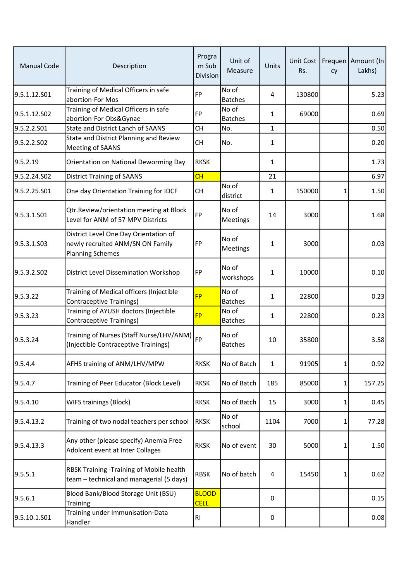| <b>Manual Code</b> | Description                                                                                          | Progra<br>m Sub<br><b>Division</b> | Unit of<br>Measure      | Units        | Unit Cost<br>Rs. | cy       | Frequen   Amount (In<br>Lakhs) |
|--------------------|------------------------------------------------------------------------------------------------------|------------------------------------|-------------------------|--------------|------------------|----------|--------------------------------|
| 9.5.1.12.S01       | Training of Medical Officers in safe<br>abortion-For Mos                                             | <b>FP</b>                          | No of<br><b>Batches</b> | 4            | 130800           |          | 5.23                           |
| 9.5.1.12.S02       | Training of Medical Officers in safe<br>abortion-For Obs&Gynae                                       | <b>FP</b>                          | No of<br><b>Batches</b> | 1            | 69000            |          | 0.69                           |
| 9.5.2.2.S01        | <b>State and District Lanch of SAANS</b>                                                             | <b>CH</b>                          | No.                     | $\mathbf{1}$ |                  |          | 0.50                           |
| 9.5.2.2.502        | State and District Planning and Review<br><b>Meeting of SAANS</b>                                    | <b>CH</b>                          | No.                     | $\mathbf{1}$ |                  |          | 0.20                           |
| 9.5.2.19           | Orientation on National Deworming Day                                                                | <b>RKSK</b>                        |                         | 1            |                  |          | 1.73                           |
| 9.5.2.24.S02       | <b>District Training of SAANS</b>                                                                    | CH                                 |                         | 21           |                  |          | 6.97                           |
| 9.5.2.25.S01       | One day Orientation Training for IDCF                                                                | <b>CH</b>                          | No of<br>district       | 1            | 150000           | 1        | 1.50                           |
| 9.5.3.1.S01        | Qtr.Review/orientation meeting at Block<br>Level for ANM of 57 MPV Districts                         | FP                                 | No of<br>Meetings       | 14           | 3000             |          | 1.68                           |
| 9.5.3.1.503        | District Level One Day Orientation of<br>newly recruited ANM/SN ON Family<br><b>Planning Schemes</b> | <b>FP</b>                          | No of<br>Meetings       | 1            | 3000             |          | 0.03                           |
| 9.5.3.2.502        | District Level Dissemination Workshop                                                                | <b>FP</b>                          | No of<br>workshops      | $\mathbf{1}$ | 10000            |          | 0.10                           |
| 9.5.3.22           | Training of Medical officers (Injectible<br>Contraceptive Trainings)                                 | <b>FP</b>                          | No of<br><b>Batches</b> | 1            | 22800            |          | 0.23                           |
| 9.5.3.23           | Training of AYUSH doctors (Injectible<br>Contraceptive Trainings)                                    | <b>FP</b>                          | No of<br><b>Batches</b> | $\mathbf{1}$ | 22800            |          | 0.23                           |
| 9.5.3.24           | Training of Nurses (Staff Nurse/LHV/ANM)<br>(Injectible Contraceptive Trainings)                     | <b>FP</b>                          | No of<br><b>Batches</b> | 10           | 35800            |          | 3.58                           |
| 9.5.4.4            | AFHS training of ANM/LHV/MPW                                                                         | <b>RKSK</b>                        | No of Batch             | $\mathbf{1}$ | 91905            | $1\vert$ | 0.92                           |
| 9.5.4.7            | Training of Peer Educator (Block Level)                                                              | <b>RKSK</b>                        | No of Batch             | 185          | 85000            | 1        | 157.25                         |
| 9.5.4.10           | <b>WIFS trainings (Block)</b>                                                                        | <b>RKSK</b>                        | No of Batch             | 15           | 3000             | 1        | 0.45                           |
| 9.5.4.13.2         | Training of two nodal teachers per school                                                            | <b>RKSK</b>                        | No of<br>school         | 1104         | 7000             | 1        | 77.28                          |
| 9.5.4.13.3         | Any other (please specify) Anemia Free<br>Adolcent event at Inter Collages                           | <b>RKSK</b>                        | No of event             | 30           | 5000             | 1        | 1.50                           |
| 9.5.5.1            | RBSK Training -Training of Mobile health<br>team - technical and managerial (5 days)                 | <b>RBSK</b>                        | No of batch             | 4            | 15450            | 1        | 0.62                           |
| 9.5.6.1            | Blood Bank/Blood Storage Unit (BSU)<br><b>Training</b>                                               | <b>BLOOD</b><br><b>CELL</b>        |                         | 0            |                  |          | 0.15                           |
| 9.5.10.1.S01       | Training under Immunisation-Data<br>Handler                                                          | R1                                 |                         | 0            |                  |          | 0.08                           |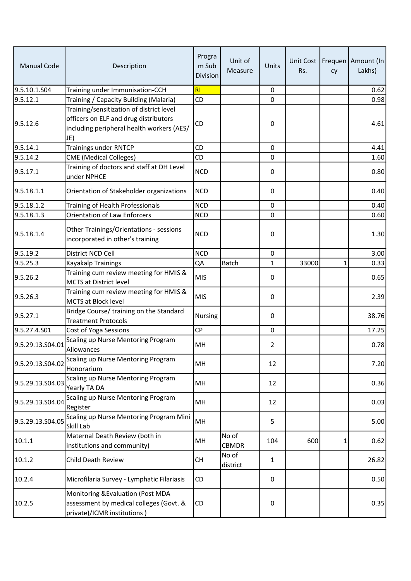| <b>Manual Code</b> | Description                                                                                                                           | Progra<br>m Sub<br>Division | Unit of<br>Measure | Units       | Rs.   | cy | Unit Cost   Frequen   Amount (In<br>Lakhs) |
|--------------------|---------------------------------------------------------------------------------------------------------------------------------------|-----------------------------|--------------------|-------------|-------|----|--------------------------------------------|
| 9.5.10.1.S04       | Training under Immunisation-CCH                                                                                                       | RI                          |                    | $\mathbf 0$ |       |    | 0.62                                       |
| 9.5.12.1           | Training / Capacity Building (Malaria)                                                                                                | CD                          |                    | 0           |       |    | 0.98                                       |
| 9.5.12.6           | Training/sensitization of district level<br>officers on ELF and drug distributors<br>including peripheral health workers (AES/<br>JE) | CD                          |                    | 0           |       |    | 4.61                                       |
| 9.5.14.1           | <b>Trainings under RNTCP</b>                                                                                                          | CD                          |                    | 0           |       |    | 4.41                                       |
| 9.5.14.2           | <b>CME</b> (Medical Colleges)                                                                                                         | CD                          |                    | 0           |       |    | 1.60                                       |
| 9.5.17.1           | Training of doctors and staff at DH Level<br>under NPHCE                                                                              | <b>NCD</b>                  |                    | 0           |       |    | 0.80                                       |
| 9.5.18.1.1         | Orientation of Stakeholder organizations                                                                                              | <b>NCD</b>                  |                    | $\Omega$    |       |    | 0.40                                       |
| 9.5.18.1.2         | Training of Health Professionals                                                                                                      | <b>NCD</b>                  |                    | $\mathbf 0$ |       |    | 0.40                                       |
| 9.5.18.1.3         | <b>Orientation of Law Enforcers</b>                                                                                                   | <b>NCD</b>                  |                    | 0           |       |    | 0.60                                       |
| 9.5.18.1.4         | Other Trainings/Orientations - sessions<br>incorporated in other's training                                                           | <b>NCD</b>                  |                    | 0           |       |    | 1.30                                       |
| 9.5.19.2           | District NCD Cell                                                                                                                     | <b>NCD</b>                  |                    | $\mathbf 0$ |       |    | 3.00                                       |
| 9.5.25.3           | Kayakalp Trainings                                                                                                                    | QA                          | Batch              | 1           | 33000 | 1  | 0.33                                       |
| 9.5.26.2           | Training cum review meeting for HMIS &<br><b>MCTS at District level</b>                                                               | <b>MIS</b>                  |                    | 0           |       |    | 0.65                                       |
| 9.5.26.3           | Training cum review meeting for HMIS &<br>MCTS at Block level                                                                         | <b>MIS</b>                  |                    | 0           |       |    | 2.39                                       |
| 9.5.27.1           | Bridge Course/ training on the Standard<br><b>Treatment Protocols</b>                                                                 | <b>Nursing</b>              |                    | 0           |       |    | 38.76                                      |
| 9.5.27.4.S01       | Cost of Yoga Sessions                                                                                                                 | <b>CP</b>                   |                    | 0           |       |    | 17.25                                      |
| 9.5.29.13.S04.01   | Scaling up Nurse Mentoring Program<br>Allowances                                                                                      | MH                          |                    | 2           |       |    | 0.78                                       |
| 9.5.29.13.S04.02   | Scaling up Nurse Mentoring Program<br>Honorarium                                                                                      | MH                          |                    | 12          |       |    | 7.20                                       |
| 9.5.29.13.S04.03   | Scaling up Nurse Mentoring Program<br>Yearly TA DA                                                                                    | MH                          |                    | 12          |       |    | 0.36                                       |
| 9.5.29.13.S04.04   | Scaling up Nurse Mentoring Program<br>Register                                                                                        | MH                          |                    | 12          |       |    | 0.03                                       |
| 9.5.29.13.S04.05   | Scaling up Nurse Mentoring Program Mini<br>Skill Lab                                                                                  | MH                          |                    | 5           |       |    | 5.00                                       |
| 10.1.1             | Maternal Death Review (both in<br>institutions and community)                                                                         | MH                          | No of<br>CBMDR     | 104         | 600   | 1  | 0.62                                       |
| 10.1.2             | <b>Child Death Review</b>                                                                                                             | <b>CH</b>                   | No of<br>district  | 1           |       |    | 26.82                                      |
| 10.2.4             | Microfilaria Survey - Lymphatic Filariasis                                                                                            | CD                          |                    | 0           |       |    | 0.50                                       |
| 10.2.5             | Monitoring & Evaluation (Post MDA<br>assessment by medical colleges (Govt. &<br>private)/ICMR institutions)                           | CD                          |                    | 0           |       |    | 0.35                                       |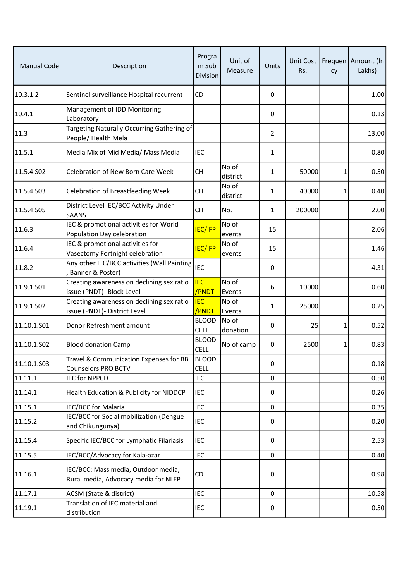| <b>Manual Code</b> | Description                                                                 | Progra<br>m Sub<br>Division | Unit of<br>Measure | Units       | Unit Cost<br>Rs. | cy | Frequen   Amount (In<br>Lakhs) |
|--------------------|-----------------------------------------------------------------------------|-----------------------------|--------------------|-------------|------------------|----|--------------------------------|
| 10.3.1.2           | Sentinel surveillance Hospital recurrent                                    | CD                          |                    | 0           |                  |    | 1.00                           |
| 10.4.1             | Management of IDD Monitoring<br>Laboratory                                  |                             |                    | 0           |                  |    | 0.13                           |
| 11.3               | Targeting Naturally Occurring Gathering of<br>People/Health Mela            |                             |                    | 2           |                  |    | 13.00                          |
| 11.5.1             | Media Mix of Mid Media/ Mass Media                                          | <b>IEC</b>                  |                    | 1           |                  |    | 0.80                           |
| 11.5.4.S02         | Celebration of New Born Care Week                                           | <b>CH</b>                   | No of<br>district  | 1           | 50000            | 1  | 0.50                           |
| 11.5.4.S03         | <b>Celebration of Breastfeeding Week</b>                                    | <b>CH</b>                   | No of<br>district  | 1           | 40000            | 1  | 0.40                           |
| 11.5.4.S05         | District Level IEC/BCC Activity Under<br><b>SAANS</b>                       | <b>CH</b>                   | No.                | 1           | 200000           |    | 2.00                           |
| 11.6.3             | IEC & promotional activities for World<br>Population Day celebration        | <b>IEC/FP</b>               | No of<br>events    | 15          |                  |    | 2.06                           |
| 11.6.4             | IEC & promotional activities for<br>Vasectomy Fortnight celebration         | <b>IEC/FP</b>               | No of<br>events    | 15          |                  |    | 1.46                           |
| 11.8.2             | Any other IEC/BCC activities (Wall Painting<br>Banner & Poster)             | <b>IEC</b>                  |                    | 0           |                  |    | 4.31                           |
| 11.9.1.S01         | Creating awareness on declining sex ratio<br>issue (PNDT)- Block Level      | <b>IEC</b><br>/PNDT         | No of<br>Events    | 6           | 10000            |    | 0.60                           |
| 11.9.1.S02         | Creating awareness on declining sex ratio<br>issue (PNDT)- District Level   | <b>IEC</b><br>/PNDT         | No of<br>Events    | 1           | 25000            |    | 0.25                           |
| 11.10.1.S01        | Donor Refreshment amount                                                    | <b>BLOOD</b><br><b>CELL</b> | No of<br>donation  | 0           | 25               | 1  | 0.52                           |
| 11.10.1.502        | <b>Blood donation Camp</b>                                                  | <b>BLOOD</b><br><b>CELL</b> | No of camp         | 0           | 2500             | 1  | 0.83                           |
| 11.10.1.503        | Travel & Communication Expenses for BB<br><b>Counselors PRO BCTV</b>        | <b>BLOOD</b><br><b>CELL</b> |                    | 0           |                  |    | 0.18                           |
| 11.11.1            | <b>IEC for NPPCD</b>                                                        | IEC                         |                    | $\Omega$    |                  |    | 0.50                           |
| 11.14.1            | Health Education & Publicity for NIDDCP                                     | <b>IEC</b>                  |                    | 0           |                  |    | 0.26                           |
| 11.15.1            | <b>IEC/BCC for Malaria</b>                                                  | IEC                         |                    | 0           |                  |    | 0.35                           |
| 11.15.2            | IEC/BCC for Social mobilization (Dengue<br>and Chikungunya)                 | <b>IEC</b>                  |                    | 0           |                  |    | 0.20                           |
| 11.15.4            | Specific IEC/BCC for Lymphatic Filariasis                                   | <b>IEC</b>                  |                    | 0           |                  |    | 2.53                           |
| 11.15.5            | IEC/BCC/Advocacy for Kala-azar                                              | <b>IEC</b>                  |                    | $\mathbf 0$ |                  |    | 0.40                           |
| 11.16.1            | IEC/BCC: Mass media, Outdoor media,<br>Rural media, Advocacy media for NLEP | CD                          |                    | 0           |                  |    | 0.98                           |
| 11.17.1            | ACSM (State & district)                                                     | IEC                         |                    | $\pmb{0}$   |                  |    | 10.58                          |
| 11.19.1            | Translation of IEC material and<br>distribution                             | <b>IEC</b>                  |                    | 0           |                  |    | 0.50                           |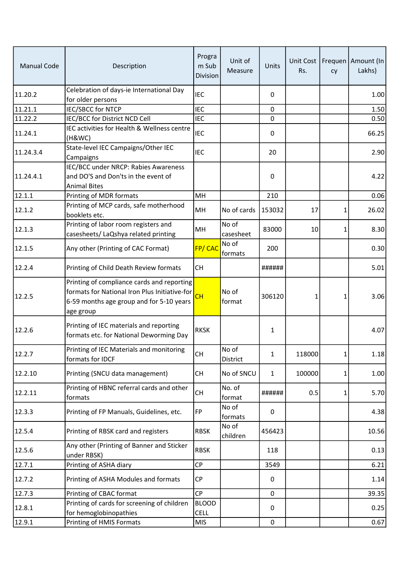| <b>Manual Code</b> | Description                                                                                                                                          | Progra<br>m Sub<br><b>Division</b> | Unit of<br>Measure | Units        | Rs.    | cy             | Unit Cost   Frequen   Amount (In<br>Lakhs) |
|--------------------|------------------------------------------------------------------------------------------------------------------------------------------------------|------------------------------------|--------------------|--------------|--------|----------------|--------------------------------------------|
| 11.20.2            | Celebration of days-ie International Day<br>for older persons                                                                                        | <b>IEC</b>                         |                    | $\mathbf{0}$ |        |                | 1.00                                       |
| 11.21.1            | <b>IEC/SBCC for NTCP</b>                                                                                                                             | <b>IEC</b>                         |                    | $\mathbf 0$  |        |                | 1.50                                       |
| 11.22.2            | IEC/BCC for District NCD Cell                                                                                                                        | <b>IEC</b>                         |                    | 0            |        |                | 0.50                                       |
| 11.24.1            | IEC activities for Health & Wellness centre<br>(H&WC)                                                                                                | <b>IEC</b>                         |                    | 0            |        |                | 66.25                                      |
| 11.24.3.4          | State-level IEC Campaigns/Other IEC<br>Campaigns                                                                                                     | <b>IEC</b>                         |                    | 20           |        |                | 2.90                                       |
| 11.24.4.1          | IEC/BCC under NRCP: Rabies Awareness<br>and DO'S and Don'ts in the event of<br><b>Animal Bites</b>                                                   |                                    |                    | 0            |        |                | 4.22                                       |
| 12.1.1             | Printing of MDR formats                                                                                                                              | MH                                 |                    | 210          |        |                | 0.06                                       |
| 12.1.2             | Printing of MCP cards, safe motherhood<br>booklets etc.                                                                                              | MH                                 | No of cards        | 153032       | 17     | 1              | 26.02                                      |
| 12.1.3             | Printing of labor room registers and<br>casesheets/ LaQshya related printing                                                                         | MH                                 | No of<br>casesheet | 83000        | 10     | 1              | 8.30                                       |
| 12.1.5             | Any other (Printing of CAC Format)                                                                                                                   | FP/CAC                             | No of<br>formats   | 200          |        |                | 0.30                                       |
| 12.2.4             | Printing of Child Death Review formats                                                                                                               | <b>CH</b>                          |                    | ######       |        |                | 5.01                                       |
| 12.2.5             | Printing of compliance cards and reporting<br>formats for National Iron Plus Initiative-for<br>6-59 months age group and for 5-10 years<br>age group | CH                                 | No of<br>format    | 306120       | 1      | 1              | 3.06                                       |
| 12.2.6             | Printing of IEC materials and reporting<br>formats etc. for National Deworming Day                                                                   | <b>RKSK</b>                        |                    | 1            |        |                | 4.07                                       |
| 12.2.7             | Printing of IEC Materials and monitoring<br>formats for IDCF                                                                                         | СH                                 | No of<br>District  | 1            | 118000 | 1 <sup>1</sup> | 1.18                                       |
| 12.2.10            | Printing (SNCU data management)                                                                                                                      | <b>CH</b>                          | No of SNCU         | $\mathbf{1}$ | 100000 | 1              | 1.00                                       |
| 12.2.11            | Printing of HBNC referral cards and other<br>formats                                                                                                 | <b>CH</b>                          | No. of<br>format   | ######       | 0.5    | 1              | 5.70                                       |
| 12.3.3             | Printing of FP Manuals, Guidelines, etc.                                                                                                             | FP                                 | No of<br>formats   | 0            |        |                | 4.38                                       |
| 12.5.4             | Printing of RBSK card and registers                                                                                                                  | <b>RBSK</b>                        | No of<br>children  | 456423       |        |                | 10.56                                      |
| 12.5.6             | Any other (Printing of Banner and Sticker<br>under RBSK)                                                                                             | <b>RBSK</b>                        |                    | 118          |        |                | 0.13                                       |
| 12.7.1             | Printing of ASHA diary                                                                                                                               | <b>CP</b>                          |                    | 3549         |        |                | 6.21                                       |
| 12.7.2             | Printing of ASHA Modules and formats                                                                                                                 | CP                                 |                    | 0            |        |                | 1.14                                       |
| 12.7.3             | Printing of CBAC format                                                                                                                              | <b>CP</b>                          |                    | 0            |        |                | 39.35                                      |
| 12.8.1             | Printing of cards for screening of children<br>for hemoglobinopathies                                                                                | <b>BLOOD</b><br><b>CELL</b>        |                    | 0            |        |                | 0.25                                       |
| 12.9.1             | Printing of HMIS Formats                                                                                                                             | <b>MIS</b>                         |                    | $\mathbf 0$  |        |                | 0.67                                       |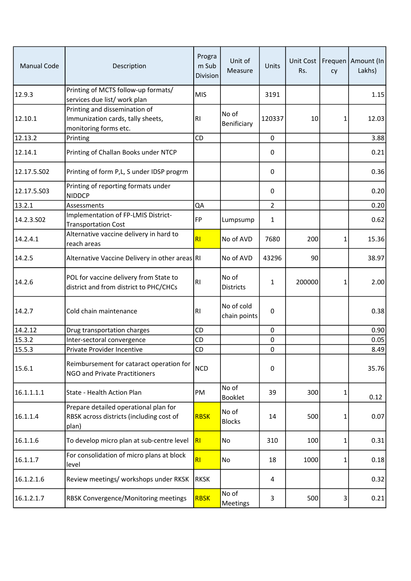| <b>Manual Code</b> | Description                                                                                 | Progra<br>m Sub<br>Division | Unit of<br>Measure         | Units          | Unit Cost<br>Rs. | cy           | Frequen   Amount (In<br>Lakhs) |
|--------------------|---------------------------------------------------------------------------------------------|-----------------------------|----------------------------|----------------|------------------|--------------|--------------------------------|
| 12.9.3             | Printing of MCTS follow-up formats/<br>services due list/ work plan                         | <b>MIS</b>                  |                            | 3191           |                  |              | 1.15                           |
| 12.10.1            | Printing and dissemination of<br>Immunization cards, tally sheets,<br>monitoring forms etc. | RI                          | No of<br>Benificiary       | 120337         | 10               | 1            | 12.03                          |
| 12.13.2            | Printing                                                                                    | CD                          |                            | 0              |                  |              | 3.88                           |
| 12.14.1            | Printing of Challan Books under NTCP                                                        |                             |                            | 0              |                  |              | 0.21                           |
| 12.17.5.S02        | Printing of form P,L, S under IDSP progrm                                                   |                             |                            | 0              |                  |              | 0.36                           |
| 12.17.5.S03        | Printing of reporting formats under<br><b>NIDDCP</b>                                        |                             |                            | 0              |                  |              | 0.20                           |
| 13.2.1             | Assessments                                                                                 | QA                          |                            | $\overline{2}$ |                  |              | 0.20                           |
| 14.2.3.502         | Implementation of FP-LMIS District-<br><b>Transportation Cost</b>                           | <b>FP</b>                   | Lumpsump                   | 1              |                  |              | 0.62                           |
| 14.2.4.1           | Alternative vaccine delivery in hard to<br>reach areas                                      | RI                          | No of AVD                  | 7680           | 200              | 1            | 15.36                          |
| 14.2.5             | Alternative Vaccine Delivery in other areas RI                                              |                             | No of AVD                  | 43296          | 90               |              | 38.97                          |
| 14.2.6             | POL for vaccine delivery from State to<br>district and from district to PHC/CHCs            | R <sub>l</sub>              | No of<br><b>Districts</b>  | 1              | 200000           | $\mathbf{1}$ | 2.00                           |
| 14.2.7             | Cold chain maintenance                                                                      | R <sub>l</sub>              | No of cold<br>chain points | 0              |                  |              | 0.38                           |
| 14.2.12            | Drug transportation charges                                                                 | CD                          |                            | $\pmb{0}$      |                  |              | 0.90                           |
| 15.3.2             | Inter-sectoral convergence                                                                  | CD                          |                            | 0              |                  |              | 0.05                           |
| 15.5.3             | Private Provider Incentive                                                                  | CD                          |                            | 0              |                  |              | 8.49                           |
| 15.6.1             | Reimbursement for cataract operation for<br>NGO and Private Practitioners                   | <b>NCD</b>                  |                            | 0              |                  |              | 35.76                          |
| 16.1.1.1.1         | State - Health Action Plan                                                                  | PM                          | No of<br>Booklet           | 39             | 300              | 1            | 0.12                           |
| 16.1.1.4           | Prepare detailed operational plan for<br>RBSK across districts (including cost of<br>plan)  | <b>RBSK</b>                 | No of<br><b>Blocks</b>     | 14             | 500              | 1            | 0.07                           |
| 16.1.1.6           | To develop micro plan at sub-centre level                                                   | RI                          | No                         | 310            | 100              | 1            | 0.31                           |
| 16.1.1.7           | For consolidation of micro plans at block<br>level                                          | R <sub>l</sub>              | No                         | 18             | 1000             | 1            | 0.18                           |
| 16.1.2.1.6         | Review meetings/ workshops under RKSK                                                       | <b>RKSK</b>                 |                            | 4              |                  |              | 0.32                           |
| 16.1.2.1.7         | RBSK Convergence/Monitoring meetings                                                        | <b>RBSK</b>                 | No of<br><b>Meetings</b>   | 3              | 500              | 3            | 0.21                           |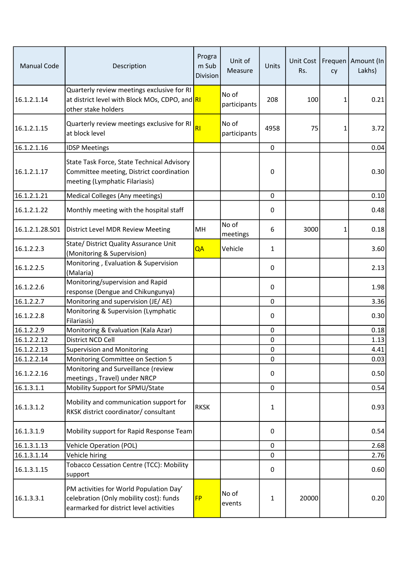| <b>Manual Code</b>         | Description                                                                                                                   | Progra<br>m Sub<br><b>Division</b> | Unit of<br>Measure    | Units       | Unit Cost<br>Rs. | cy           | Frequen   Amount (In<br>Lakhs) |
|----------------------------|-------------------------------------------------------------------------------------------------------------------------------|------------------------------------|-----------------------|-------------|------------------|--------------|--------------------------------|
| 16.1.2.1.14                | Quarterly review meetings exclusive for RI<br>at district level with Block MOs, CDPO, and RI<br>other stake holders           |                                    | No of<br>participants | 208         | 100              | $\mathbf{1}$ | 0.21                           |
| 16.1.2.1.15                | Quarterly review meetings exclusive for RI<br>at block level                                                                  | RI                                 | No of<br>participants | 4958        | 75               | 1            | 3.72                           |
| 16.1.2.1.16                | <b>IDSP Meetings</b>                                                                                                          |                                    |                       | $\pmb{0}$   |                  |              | 0.04                           |
| 16.1.2.1.17                | State Task Force, State Technical Advisory<br>Committee meeting, District coordination<br>meeting (Lymphatic Filariasis)      |                                    |                       | 0           |                  |              | 0.30                           |
| 16.1.2.1.21                | Medical Colleges (Any meetings)                                                                                               |                                    |                       | $\pmb{0}$   |                  |              | 0.10                           |
| 16.1.2.1.22                | Monthly meeting with the hospital staff                                                                                       |                                    |                       | 0           |                  |              | 0.48                           |
| 16.1.2.1.28.501            | District Level MDR Review Meeting                                                                                             | MH                                 | No of<br>meetings     | 6           | 3000             | 1            | 0.18                           |
| 16.1.2.2.3                 | State/ District Quality Assurance Unit<br>(Monitoring & Supervision)                                                          | QA                                 | Vehicle               | 1           |                  |              | 3.60                           |
| 16.1.2.2.5                 | Monitoring, Evaluation & Supervision<br>(Malaria)                                                                             |                                    |                       | 0           |                  |              | 2.13                           |
| 16.1.2.2.6                 | Monitoring/supervision and Rapid<br>response (Dengue and Chikungunya)                                                         |                                    |                       | 0           |                  |              | 1.98                           |
| 16.1.2.2.7                 | Monitoring and supervision (JE/ AE)                                                                                           |                                    |                       | $\mathbf 0$ |                  |              | 3.36                           |
| 16.1.2.2.8                 | Monitoring & Supervision (Lymphatic<br>Filariasis)                                                                            |                                    |                       | 0           |                  |              | 0.30                           |
| 16.1.2.2.9                 | Monitoring & Evaluation (Kala Azar)                                                                                           |                                    |                       | $\pmb{0}$   |                  |              | 0.18                           |
| 16.1.2.2.12                | District NCD Cell                                                                                                             |                                    |                       | $\pmb{0}$   |                  |              | 1.13                           |
| 16.1.2.2.13                | <b>Supervision and Monitoring</b>                                                                                             |                                    |                       | 0           |                  |              | 4.41                           |
| 16.1.2.2.14<br>16.1.2.2.16 | Monitoring Committee on Section 5<br>Monitoring and Surveillance (review<br>meetings, Travel) under NRCP                      |                                    |                       | 0<br>0      |                  |              | 0.03<br>0.50                   |
| 16.1.3.1.1                 | Mobility Support for SPMU/State                                                                                               |                                    |                       | $\mathbf 0$ |                  |              | 0.54                           |
| 16.1.3.1.2                 | Mobility and communication support for<br>RKSK district coordinator/ consultant                                               | <b>RKSK</b>                        |                       | 1           |                  |              | 0.93                           |
| 16.1.3.1.9                 | Mobility support for Rapid Response Team                                                                                      |                                    |                       | 0           |                  |              | 0.54                           |
| 16.1.3.1.13                | <b>Vehicle Operation (POL)</b>                                                                                                |                                    |                       | $\pmb{0}$   |                  |              | 2.68                           |
| 16.1.3.1.14                | Vehicle hiring                                                                                                                |                                    |                       | 0           |                  |              | 2.76                           |
| 16.1.3.1.15                | Tobacco Cessation Centre (TCC): Mobility<br>support                                                                           |                                    |                       | 0           |                  |              | 0.60                           |
| 16.1.3.3.1                 | PM activities for World Population Day'<br>celebration (Only mobility cost): funds<br>earmarked for district level activities | <b>FP</b>                          | No of<br>events       | 1           | 20000            |              | 0.20                           |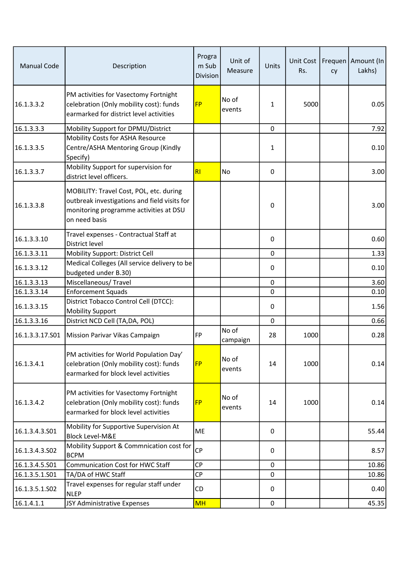| <b>Manual Code</b> | Description                                                                                                                                        | Progra<br>m Sub<br><b>Division</b> | Unit of<br>Measure | Units       | Unit Cost<br>Rs. | cy | Frequen   Amount (In<br>Lakhs) |
|--------------------|----------------------------------------------------------------------------------------------------------------------------------------------------|------------------------------------|--------------------|-------------|------------------|----|--------------------------------|
| 16.1.3.3.2         | PM activities for Vasectomy Fortnight<br>celebration (Only mobility cost): funds<br>earmarked for district level activities                        | <b>FP</b>                          | No of<br>events    | 1           | 5000             |    | 0.05                           |
| 16.1.3.3.3         | Mobility Support for DPMU/District                                                                                                                 |                                    |                    | $\mathbf 0$ |                  |    | 7.92                           |
| 16.1.3.3.5         | Mobility Costs for ASHA Resource<br>Centre/ASHA Mentoring Group (Kindly<br>Specify)                                                                |                                    |                    | 1           |                  |    | 0.10                           |
| 16.1.3.3.7         | Mobility Support for supervision for<br>district level officers.                                                                                   | RI                                 | No                 | 0           |                  |    | 3.00                           |
| 16.1.3.3.8         | MOBILITY: Travel Cost, POL, etc. during<br>outbreak investigations and field visits for<br>monitoring programme activities at DSU<br>on need basis |                                    |                    | 0           |                  |    | 3.00                           |
| 16.1.3.3.10        | Travel expenses - Contractual Staff at<br>District level                                                                                           |                                    |                    | 0           |                  |    | 0.60                           |
| 16.1.3.3.11        | Mobility Support: District Cell                                                                                                                    |                                    |                    | $\mathbf 0$ |                  |    | 1.33                           |
| 16.1.3.3.12        | Medical Colleges (All service delivery to be<br>budgeted under B.30)                                                                               |                                    |                    | $\pmb{0}$   |                  |    | 0.10                           |
| 16.1.3.3.13        | Miscellaneous/Travel                                                                                                                               |                                    |                    | $\pmb{0}$   |                  |    | 3.60                           |
| 16.1.3.3.14        | <b>Enforcement Squads</b>                                                                                                                          |                                    |                    | 0           |                  |    | 0.10                           |
| 16.1.3.3.15        | District Tobacco Control Cell (DTCC):<br><b>Mobility Support</b>                                                                                   |                                    |                    | 0           |                  |    | 1.56                           |
| 16.1.3.3.16        | District NCD Cell (TA, DA, POL)                                                                                                                    |                                    |                    | $\pmb{0}$   |                  |    | 0.66                           |
| 16.1.3.3.17.S01    | Mission Parivar Vikas Campaign                                                                                                                     | <b>FP</b>                          | No of<br>campaign  | 28          | 1000             |    | 0.28                           |
| 16.1.3.4.1         | PM activities for World Population Day'<br>celebration (Only mobility cost): funds<br>earmarked for block level activities                         | <b>FP</b>                          | No of<br>events    | 14          | 1000             |    | 0.14                           |
| 16.1.3.4.2         | PM activities for Vasectomy Fortnight<br>celebration (Only mobility cost): funds<br>earmarked for block level activities                           | <b>FP</b>                          | No of<br>events    | 14          | 1000             |    | 0.14                           |
| 16.1.3.4.3.501     | Mobility for Supportive Supervision At<br><b>Block Level-M&amp;E</b>                                                                               | ME                                 |                    | 0           |                  |    | 55.44                          |
| 16.1.3.4.3.502     | Mobility Support & Commnication cost for<br><b>BCPM</b>                                                                                            | <b>CP</b>                          |                    | 0           |                  |    | 8.57                           |
| 16.1.3.4.5.501     | <b>Communication Cost for HWC Staff</b>                                                                                                            | <b>CP</b>                          |                    | 0           |                  |    | 10.86                          |
| 16.1.3.5.1.S01     | TA/DA of HWC Staff                                                                                                                                 | CP                                 |                    | 0           |                  |    | 10.86                          |
| 16.1.3.5.1.502     | Travel expenses for regular staff under<br><b>NLEP</b>                                                                                             | CD                                 |                    | 0           |                  |    | 0.40                           |
| 16.1.4.1.1         | JSY Administrative Expenses                                                                                                                        | <b>MH</b>                          |                    | $\pmb{0}$   |                  |    | 45.35                          |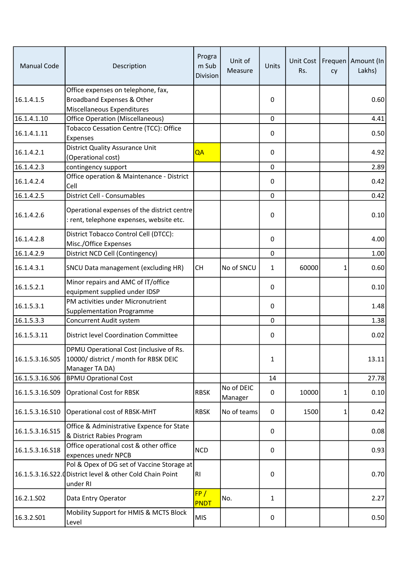| <b>Manual Code</b> | Description                                                                                                        | Progra<br>m Sub<br><b>Division</b> | Unit of<br>Measure    | Units        | Rs.   | cy | Unit Cost   Frequen   Amount (In<br>Lakhs) |
|--------------------|--------------------------------------------------------------------------------------------------------------------|------------------------------------|-----------------------|--------------|-------|----|--------------------------------------------|
| 16.1.4.1.5         | Office expenses on telephone, fax,<br>Broadband Expenses & Other<br>Miscellaneous Expenditures                     |                                    |                       | 0            |       |    | 0.60                                       |
| 16.1.4.1.10        | <b>Office Operation (Miscellaneous)</b>                                                                            |                                    |                       | 0            |       |    | 4.41                                       |
| 16.1.4.1.11        | Tobacco Cessation Centre (TCC): Office<br>Expenses                                                                 |                                    |                       | 0            |       |    | 0.50                                       |
| 16.1.4.2.1         | District Quality Assurance Unit<br>(Operational cost)                                                              | QA                                 |                       | 0            |       |    | 4.92                                       |
| 16.1.4.2.3         | contingency support                                                                                                |                                    |                       | $\mathbf{0}$ |       |    | 2.89                                       |
| 16.1.4.2.4         | Office operation & Maintenance - District<br>Cell                                                                  |                                    |                       | 0            |       |    | 0.42                                       |
| 16.1.4.2.5         | District Cell - Consumables                                                                                        |                                    |                       | 0            |       |    | 0.42                                       |
| 16.1.4.2.6         | Operational expenses of the district centre<br>: rent, telephone expenses, website etc.                            |                                    |                       | 0            |       |    | 0.10                                       |
| 16.1.4.2.8         | District Tobacco Control Cell (DTCC):<br>Misc./Office Expenses                                                     |                                    |                       | 0            |       |    | 4.00                                       |
| 16.1.4.2.9         | District NCD Cell (Contingency)                                                                                    |                                    |                       | $\pmb{0}$    |       |    | 1.00                                       |
| 16.1.4.3.1         | SNCU Data management (excluding HR)                                                                                | <b>CH</b>                          | No of SNCU            | 1            | 60000 | 1  | 0.60                                       |
| 16.1.5.2.1         | Minor repairs and AMC of IT/office<br>equipment supplied under IDSP                                                |                                    |                       | 0            |       |    | 0.10                                       |
| 16.1.5.3.1         | PM activities under Micronutrient<br><b>Supplementation Programme</b>                                              |                                    |                       | $\mathbf{0}$ |       |    | 1.48                                       |
| 16.1.5.3.3         | Concurrent Audit system                                                                                            |                                    |                       | 0            |       |    | 1.38                                       |
| 16.1.5.3.11        | <b>District level Coordination Committee</b>                                                                       |                                    |                       | 0            |       |    | 0.02                                       |
| 16.1.5.3.16.S05    | DPMU Operational Cost (inclusive of Rs.<br>10000/ district / month for RBSK DEIC<br>Manager TA DA)                 |                                    |                       | 1            |       |    | 13.11                                      |
| 16.1.5.3.16.506    | <b>BPMU Oprational Cost</b>                                                                                        |                                    |                       | 14           |       |    | 27.78                                      |
| 16.1.5.3.16.S09    | <b>Oprational Cost for RBSK</b>                                                                                    | <b>RBSK</b>                        | No of DEIC<br>Manager | 0            | 10000 | 1  | 0.10                                       |
| 16.1.5.3.16.S10    | Operational cost of RBSK-MHT                                                                                       | <b>RBSK</b>                        | No of teams           | 0            | 1500  | 1  | 0.42                                       |
| 16.1.5.3.16.S15    | Office & Administrative Expence for State<br>& District Rabies Program                                             |                                    |                       | 0            |       |    | 0.08                                       |
| 16.1.5.3.16.S18    | Office operational cost & other office<br>expences unedr NPCB                                                      | <b>NCD</b>                         |                       | 0            |       |    | 0.93                                       |
|                    | Pol & Opex of DG set of Vaccine Storage at<br>16.1.5.3.16.S22. District level & other Cold Chain Point<br>under RI | RI                                 |                       | 0            |       |    | 0.70                                       |
| 16.2.1.S02         | Data Entry Operator                                                                                                | FP/<br><b>PNDT</b>                 | No.                   | $\mathbf{1}$ |       |    | 2.27                                       |
| 16.3.2.S01         | Mobility Support for HMIS & MCTS Block<br>Level                                                                    | <b>MIS</b>                         |                       | 0            |       |    | 0.50                                       |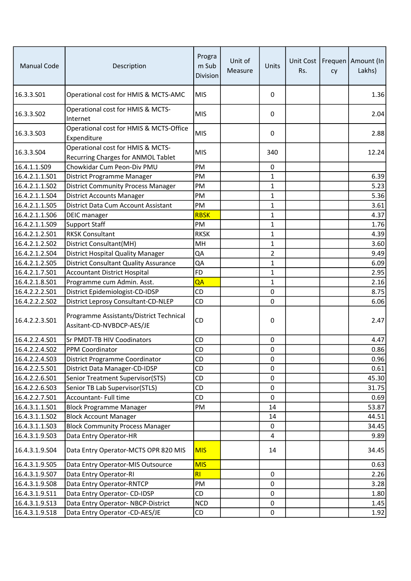| <b>Manual Code</b> | Description                                                             | Progra<br>m Sub<br><b>Division</b> | Unit of<br>Measure | Units          | Unit Cost<br>Rs. | cy | Frequen   Amount (In<br>Lakhs) |
|--------------------|-------------------------------------------------------------------------|------------------------------------|--------------------|----------------|------------------|----|--------------------------------|
| 16.3.3.501         | Operational cost for HMIS & MCTS-AMC                                    | <b>MIS</b>                         |                    | 0              |                  |    | 1.36                           |
| 16.3.3.S02         | Operational cost for HMIS & MCTS-<br>Internet                           | <b>MIS</b>                         |                    | 0              |                  |    | 2.04                           |
| 16.3.3.S03         | Operational cost for HMIS & MCTS-Office<br>Expenditure                  | <b>MIS</b>                         |                    | 0              |                  |    | 2.88                           |
| 16.3.3.S04         | Operational cost for HMIS & MCTS-<br>Recurring Charges for ANMOL Tablet | <b>MIS</b>                         |                    | 340            |                  |    | 12.24                          |
| 16.4.1.1.S09       | Chowkidar Cum Peon-Div PMU                                              | <b>PM</b>                          |                    | 0              |                  |    |                                |
| 16.4.2.1.1.501     | District Programme Manager                                              | PM                                 |                    | 1              |                  |    | 6.39                           |
| 16.4.2.1.1.502     | <b>District Community Process Manager</b>                               | PM                                 |                    | 1              |                  |    | 5.23                           |
| 16.4.2.1.1.S04     | <b>District Accounts Manager</b>                                        | PM                                 |                    | 1              |                  |    | 5.36                           |
| 16.4.2.1.1.S05     | District Data Cum Account Assistant                                     | <b>PM</b>                          |                    | 1              |                  |    | 3.61                           |
| 16.4.2.1.1.S06     | <b>DEIC</b> manager                                                     | <b>RBSK</b>                        |                    | 1              |                  |    | 4.37                           |
| 16.4.2.1.1.S09     | <b>Support Staff</b>                                                    | PM                                 |                    | $\mathbf{1}$   |                  |    | 1.76                           |
| 16.4.2.1.2.501     | <b>RKSK Consultant</b>                                                  | <b>RKSK</b>                        |                    | 1              |                  |    | 4.39                           |
| 16.4.2.1.2.502     | District Consultant(MH)                                                 | MH                                 |                    | $\mathbf 1$    |                  |    | 3.60                           |
| 16.4.2.1.2.S04     | District Hospital Quality Manager                                       | QA                                 |                    | $\overline{2}$ |                  |    | 9.49                           |
| 16.4.2.1.2.505     | <b>District Consultant Quality Assurance</b>                            | QA                                 |                    | $\mathbf 1$    |                  |    | 6.09                           |
| 16.4.2.1.7.501     | <b>Accountant District Hospital</b>                                     | <b>FD</b>                          |                    | 1              |                  |    | 2.95                           |
| 16.4.2.1.8.501     | Programme cum Admin. Asst.                                              | QA                                 |                    | 1              |                  |    | 2.16                           |
| 16.4.2.2.2.501     | District Epidemiologist-CD-IDSP                                         | CD                                 |                    | 0              |                  |    | 8.75                           |
| 16.4.2.2.2.S02     | District Leprosy Consultant-CD-NLEP                                     | CD                                 |                    | 0              |                  |    | 6.06                           |
| 16.4.2.2.3.S01     | Programme Assistants/District Technical<br>Assitant-CD-NVBDCP-AES/JE    | CD                                 |                    | 0              |                  |    | 2.47                           |
| 16.4.2.2.4.S01     | Sr PMDT-TB HIV Coodinators                                              | CD                                 |                    | 0              |                  |    | 4.47                           |
| 16.4.2.2.4.502     | PPM Coordinator                                                         | CD                                 |                    | 0              |                  |    | 0.86                           |
| 16.4.2.2.4.S03     | District Programme Coordinator                                          | CD                                 |                    | 0              |                  |    | 0.96                           |
| 16.4.2.2.5.S01     | District Data Manager-CD-IDSP                                           | CD                                 |                    | 0              |                  |    | 0.61                           |
| 16.4.2.2.6.S01     | Senior Treatment Supervisor(STS)                                        | CD                                 |                    | 0              |                  |    | 45.30                          |
| 16.4.2.2.6.S03     | Senior TB Lab Supervisor(STLS)                                          | CD                                 |                    | $\pmb{0}$      |                  |    | 31.75                          |
| 16.4.2.2.7.S01     | Accountant- Full time                                                   | CD                                 |                    | 0              |                  |    | 0.69                           |
| 16.4.3.1.1.S01     | <b>Block Programme Manager</b>                                          | PM                                 |                    | 14             |                  |    | 53.87                          |
| 16.4.3.1.1.S02     | <b>Block Account Manager</b>                                            |                                    |                    | 14             |                  |    | 44.51                          |
| 16.4.3.1.1.S03     | <b>Block Community Process Manager</b>                                  |                                    |                    | 0              |                  |    | 34.45                          |
| 16.4.3.1.9.503     | Data Entry Operator-HR                                                  |                                    |                    | 4              |                  |    | 9.89                           |
| 16.4.3.1.9.504     | Data Entry Operator-MCTS OPR 820 MIS                                    | <b>MIS</b>                         |                    | 14             |                  |    | 34.45                          |
| 16.4.3.1.9.505     | Data Entry Operator-MIS Outsource                                       | <b>MIS</b>                         |                    |                |                  |    | 0.63                           |
| 16.4.3.1.9.S07     | Data Entry Operator-RI                                                  | <b>RI</b>                          |                    | 0              |                  |    | 2.26                           |
| 16.4.3.1.9.S08     | Data Entry Operator-RNTCP                                               | PM                                 |                    | 0              |                  |    | 3.28                           |
| 16.4.3.1.9.S11     | Data Entry Operator- CD-IDSP                                            | CD                                 |                    | 0              |                  |    | 1.80                           |
| 16.4.3.1.9.S13     | Data Entry Operator- NBCP-District                                      | <b>NCD</b>                         |                    | $\pmb{0}$      |                  |    | 1.45                           |
| 16.4.3.1.9.S18     | Data Entry Operator -CD-AES/JE                                          | CD                                 |                    | 0              |                  |    | 1.92                           |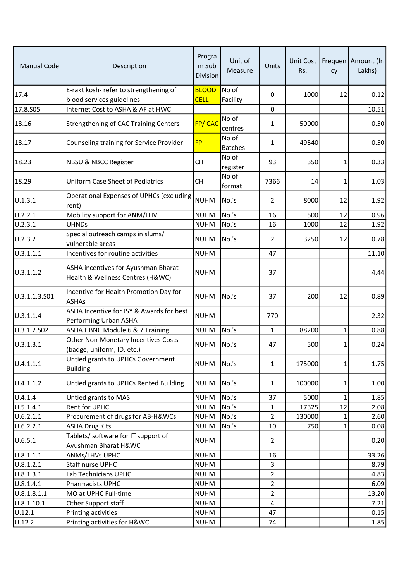| <b>Manual Code</b> | Description                                                             | Progra<br>m Sub<br><b>Division</b> | Unit of<br>Measure      | Units          | Rs.    | cy           | Unit Cost   Frequen   Amount (In  <br>Lakhs) |
|--------------------|-------------------------------------------------------------------------|------------------------------------|-------------------------|----------------|--------|--------------|----------------------------------------------|
| 17.4               | E-rakt kosh- refer to strengthening of<br>blood services guidelines     | <b>BLOOD</b><br><b>CELL</b>        | No of<br>Facility       | 0              | 1000   | 12           | 0.12                                         |
| 17.8.S05           | Internet Cost to ASHA & AF at HWC                                       |                                    |                         | 0              |        |              | 10.51                                        |
| 18.16              | <b>Strengthening of CAC Training Centers</b>                            | FP/CAC                             | No of<br>centres        | 1              | 50000  |              | 0.50                                         |
| 18.17              | Counseling training for Service Provider                                | <b>FP</b>                          | No of<br><b>Batches</b> | 1              | 49540  |              | 0.50                                         |
| 18.23              | <b>NBSU &amp; NBCC Register</b>                                         | <b>CH</b>                          | No of<br>register       | 93             | 350    | 1            | 0.33                                         |
| 18.29              | <b>Uniform Case Sheet of Pediatrics</b>                                 | <b>CH</b>                          | No of<br>format         | 7366           | 14     | 1            | 1.03                                         |
| U.1.3.1            | <b>Operational Expenses of UPHCs (excluding</b><br>rent)                | <b>NUHM</b>                        | No.'s                   | 2              | 8000   | 12           | 1.92                                         |
| U.2.2.1            | Mobility support for ANM/LHV                                            | <b>NUHM</b>                        | No.'s                   | 16             | 500    | 12           | 0.96                                         |
| U.2.3.1            | <b>UHNDs</b>                                                            | <b>NUHM</b>                        | No.'s                   | 16             | 1000   | 12           | 1.92                                         |
| U.2.3.2            | Special outreach camps in slums/<br>vulnerable areas                    | <b>NUHM</b>                        | No.'s                   | 2              | 3250   | 12           | 0.78                                         |
| U.3.1.1.1          | Incentives for routine activities                                       | <b>NUHM</b>                        |                         | 47             |        |              | 11.10                                        |
| U.3.1.1.2          | ASHA incentives for Ayushman Bharat<br>Health & Wellness Centres (H&WC) | <b>NUHM</b>                        |                         | 37             |        |              | 4.44                                         |
| U.3.1.1.3.S01      | Incentive for Health Promotion Day for<br><b>ASHAs</b>                  | <b>NUHM</b>                        | No.'s                   | 37             | 200    | 12           | 0.89                                         |
| U.3.1.1.4          | ASHA Incentive for JSY & Awards for best<br>Performing Urban ASHA       | <b>NUHM</b>                        |                         | 770            |        |              | 2.32                                         |
| U.3.1.2.S02        | ASHA HBNC Module 6 & 7 Training                                         | <b>NUHM</b>                        | No.'s                   | 1              | 88200  | 1            | 0.88                                         |
| U.3.1.3.1          | Other Non-Monetary Incentives Costs<br>(badge, uniform, ID, etc.)       | <b>NUHM</b>                        | No.'s                   | 47             | 500    | 1            | 0.24                                         |
| U.4.1.1.1          | Untied grants to UPHCs Government<br><b>Building</b>                    | <b>NUHM</b>                        | No.'s                   | $\mathbf{1}$   | 175000 | $\mathbf{1}$ | 1.75                                         |
| U.4.1.1.2          | Untied grants to UPHCs Rented Building                                  | <b>NUHM</b>                        | No.'s                   | $\mathbf{1}$   | 100000 | 1            | 1.00                                         |
| U.4.1.4            | Untied grants to MAS                                                    | <b>NUHM</b>                        | No.'s                   | 37             | 5000   | $\mathbf{1}$ | 1.85                                         |
| U.5.1.4.1          | Rent for UPHC                                                           | <b>NUHM</b>                        | No.'s                   | 1              | 17325  | 12           | 2.08                                         |
| U.6.2.1.1          | Procurement of drugs for AB-H&WCs                                       | <b>NUHM</b>                        | No.'s                   | $\overline{2}$ | 130000 | $\mathbf{1}$ | 2.60                                         |
| U.6.2.2.1          | <b>ASHA Drug Kits</b>                                                   | <b>NUHM</b>                        | No.'s                   | 10             | 750    | $\mathbf{1}$ | 0.08                                         |
| U.6.5.1            | Tablets/ software for IT support of<br>Ayushman Bharat H&WC             | <b>NUHM</b>                        |                         | $\overline{2}$ |        |              | 0.20                                         |
| 0.8.1.1.1          | ANMs/LHVs UPHC                                                          | <b>NUHM</b>                        |                         | 16             |        |              | 33.26                                        |
| U.8.1.2.1          | Staff nurse UPHC                                                        | <b>NUHM</b>                        |                         | 3              |        |              | 8.79                                         |
| U.8.1.3.1          | Lab Technicians UPHC                                                    | <b>NUHM</b>                        |                         | $\overline{2}$ |        |              | 4.83                                         |
| U.8.1.4.1          | Pharmacists UPHC                                                        | <b>NUHM</b>                        |                         | $\overline{a}$ |        |              | 6.09                                         |
| U.8.1.8.1.1        | MO at UPHC Full-time                                                    | <b>NUHM</b>                        |                         | 2              |        |              | 13.20                                        |
| U.8.1.10.1         | Other Support staff                                                     | <b>NUHM</b>                        |                         | 4              |        |              | 7.21                                         |
| U.12.1             | Printing activities                                                     | <b>NUHM</b>                        |                         | 47             |        |              | 0.15                                         |
| U.12.2             | Printing activities for H&WC                                            | <b>NUHM</b>                        |                         | 74             |        |              | 1.85                                         |